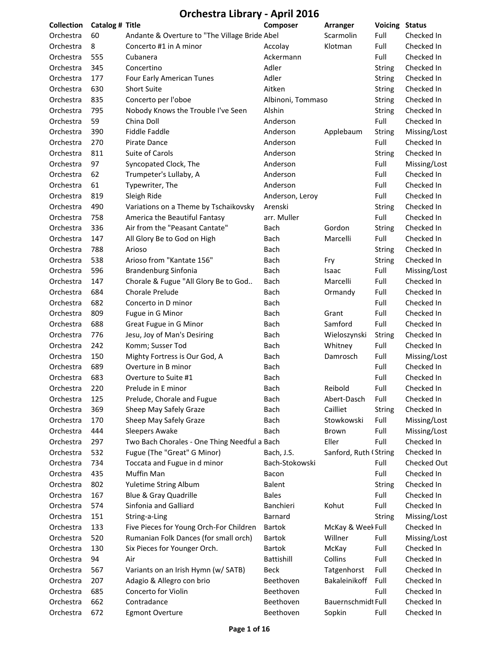| <b>Collection</b> | Catalog # Title |                                               | Composer          | Arranger              | <b>Voicing Status</b> |              |
|-------------------|-----------------|-----------------------------------------------|-------------------|-----------------------|-----------------------|--------------|
| Orchestra         | 60              | Andante & Overture to "The Village Bride Abel |                   | Scarmolin             | Full                  | Checked In   |
| Orchestra         | 8               | Concerto #1 in A minor                        | Accolay           | Klotman               | Full                  | Checked In   |
| Orchestra         | 555             | Cubanera                                      | Ackermann         |                       | Full                  | Checked In   |
| Orchestra         | 345             | Concertino                                    | Adler             |                       | <b>String</b>         | Checked In   |
| Orchestra         | 177             | Four Early American Tunes                     | Adler             |                       | <b>String</b>         | Checked In   |
| Orchestra         | 630             | <b>Short Suite</b>                            | Aitken            |                       | <b>String</b>         | Checked In   |
| Orchestra         | 835             | Concerto per l'oboe                           | Albinoni, Tommaso |                       | <b>String</b>         | Checked In   |
| Orchestra         | 795             | Nobody Knows the Trouble I've Seen            | Alshin            |                       | <b>String</b>         | Checked In   |
| Orchestra         | 59              | China Doll                                    | Anderson          |                       | Full                  | Checked In   |
| Orchestra         | 390             | <b>Fiddle Faddle</b>                          | Anderson          | Applebaum             | String                | Missing/Lost |
| Orchestra         | 270             | Pirate Dance                                  | Anderson          |                       | Full                  | Checked In   |
| Orchestra         | 811             | Suite of Carols                               | Anderson          |                       | <b>String</b>         | Checked In   |
| Orchestra         | 97              | Syncopated Clock, The                         | Anderson          |                       | Full                  | Missing/Lost |
| Orchestra         | 62              | Trumpeter's Lullaby, A                        | Anderson          |                       | Full                  | Checked In   |
| Orchestra         | 61              | Typewriter, The                               | Anderson          |                       | Full                  | Checked In   |
| Orchestra         | 819             | Sleigh Ride                                   | Anderson, Leroy   |                       | Full                  | Checked In   |
| Orchestra         | 490             | Variations on a Theme by Tschaikovsky         | Arenski           |                       | <b>String</b>         | Checked In   |
| Orchestra         | 758             | America the Beautiful Fantasy                 | arr. Muller       |                       | Full                  | Checked In   |
| Orchestra         | 336             | Air from the "Peasant Cantate"                | Bach              | Gordon                | <b>String</b>         | Checked In   |
| Orchestra         | 147             | All Glory Be to God on High                   | Bach              | Marcelli              | Full                  | Checked In   |
| Orchestra         | 788             | Arioso                                        | Bach              |                       | <b>String</b>         | Checked In   |
| Orchestra         | 538             | Arioso from "Kantate 156"                     | Bach              | Fry                   | <b>String</b>         | Checked In   |
| Orchestra         | 596             | Brandenburg Sinfonia                          | Bach              | Isaac                 | Full                  | Missing/Lost |
| Orchestra         | 147             | Chorale & Fugue "All Glory Be to God          | Bach              | Marcelli              | Full                  | Checked In   |
| Orchestra         | 684             | <b>Chorale Prelude</b>                        | Bach              | Ormandy               | Full                  | Checked In   |
| Orchestra         | 682             | Concerto in D minor                           | Bach              |                       | Full                  | Checked In   |
| Orchestra         | 809             | Fugue in G Minor                              | Bach              | Grant                 | Full                  | Checked In   |
| Orchestra         | 688             | Great Fugue in G Minor                        | Bach              | Samford               | Full                  | Checked In   |
| Orchestra         | 776             | Jesu, Joy of Man's Desiring                   | Bach              | Wieloszynski          | <b>String</b>         | Checked In   |
| Orchestra         | 242             | Komm; Susser Tod                              | Bach              | Whitney               | Full                  | Checked In   |
| Orchestra         | 150             | Mighty Fortress is Our God, A                 | Bach              | Damrosch              | Full                  | Missing/Lost |
| Orchestra         | 689             | Overture in B minor                           | Bach              |                       | Full                  | Checked In   |
| Orchestra         | 683             | Overture to Suite #1                          | <b>Bach</b>       |                       | Full                  | Checked In   |
| Orchestra         | 220             | Prelude in E minor                            | <b>Bach</b>       | Reibold               | Full                  | Checked In   |
| Orchestra         | 125             | Prelude, Chorale and Fugue                    | Bach              | Abert-Dasch           | Full                  | Checked In   |
| Orchestra         | 369             | Sheep May Safely Graze                        | Bach              | Cailliet              | String                | Checked In   |
| Orchestra         | 170             | Sheep May Safely Graze                        | Bach              | Stowkowski            | Full                  | Missing/Lost |
| Orchestra         | 444             | <b>Sleepers Awake</b>                         | Bach              | Brown                 | Full                  | Missing/Lost |
| Orchestra         | 297             | Two Bach Chorales - One Thing Needful a Bach  |                   | Eller                 | Full                  | Checked In   |
| Orchestra         | 532             | Fugue (The "Great" G Minor)                   | Bach, J.S.        | Sanford, Ruth (String |                       | Checked In   |
| Orchestra         | 734             | Toccata and Fugue in d minor                  | Bach-Stokowski    |                       | Full                  | Checked Out  |
| Orchestra         | 435             | Muffin Man                                    | Bacon             |                       | Full                  | Checked In   |
| Orchestra         | 802             | Yuletime String Album                         | <b>Balent</b>     |                       | <b>String</b>         | Checked In   |
| Orchestra         | 167             | Blue & Gray Quadrille                         | <b>Bales</b>      |                       | Full                  | Checked In   |
| Orchestra         | 574             | Sinfonia and Galliard                         | Banchieri         | Kohut                 | Full                  | Checked In   |
| Orchestra         | 151             | String-a-Ling                                 | Barnard           |                       | <b>String</b>         | Missing/Lost |
| Orchestra         | 133             | Five Pieces for Young Orch-For Children       | Bartok            | McKay & Weel Full     |                       | Checked In   |
| Orchestra         | 520             | Rumanian Folk Dances (for small orch)         | <b>Bartok</b>     | Willner               | Full                  | Missing/Lost |
| Orchestra         | 130             | Six Pieces for Younger Orch.                  | Bartok            | McKay                 | Full                  | Checked In   |
| Orchestra         | 94              | Air                                           | Battishill        | Collins               | Full                  | Checked In   |
| Orchestra         | 567             | Variants on an Irish Hymn (w/ SATB)           | <b>Beck</b>       | Tatgenhorst           | Full                  | Checked In   |
| Orchestra         | 207             | Adagio & Allegro con brio                     | Beethoven         | Bakaleinikoff         | Full                  | Checked In   |
| Orchestra         | 685             | Concerto for Violin                           | Beethoven         |                       | Full                  | Checked In   |
| Orchestra         | 662             | Contradance                                   | Beethoven         | Bauernschmidt Full    |                       | Checked In   |
| Orchestra         | 672             | <b>Egmont Overture</b>                        | Beethoven         | Sopkin                | Full                  | Checked In   |
|                   |                 |                                               |                   |                       |                       |              |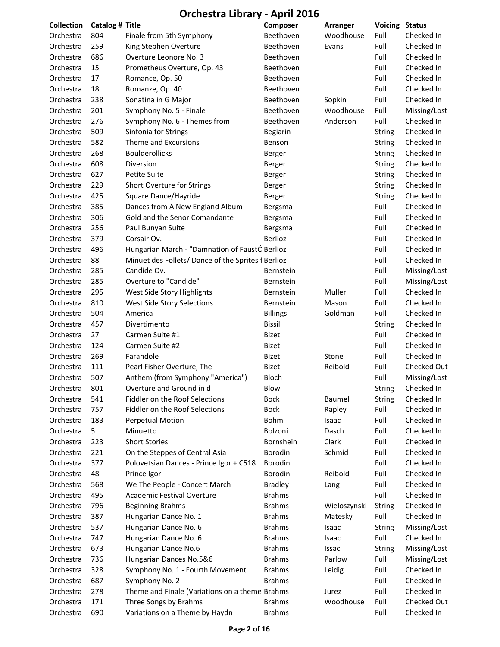| Collection | Catalog # Title |                                                    | Composer        | Arranger     | <b>Voicing</b> | <b>Status</b> |
|------------|-----------------|----------------------------------------------------|-----------------|--------------|----------------|---------------|
| Orchestra  | 804             | Finale from 5th Symphony                           | Beethoven       | Woodhouse    | Full           | Checked In    |
| Orchestra  | 259             | King Stephen Overture                              | Beethoven       | Evans        | Full           | Checked In    |
| Orchestra  | 686             | Overture Leonore No. 3                             | Beethoven       |              | Full           | Checked In    |
| Orchestra  | 15              | Prometheus Overture, Op. 43                        | Beethoven       |              | Full           | Checked In    |
| Orchestra  | 17              | Romance, Op. 50                                    | Beethoven       |              | Full           | Checked In    |
| Orchestra  | 18              | Romanze, Op. 40                                    | Beethoven       |              | Full           | Checked In    |
| Orchestra  | 238             | Sonatina in G Major                                | Beethoven       | Sopkin       | Full           | Checked In    |
| Orchestra  | 201             | Symphony No. 5 - Finale                            | Beethoven       | Woodhouse    | Full           | Missing/Lost  |
| Orchestra  | 276             | Symphony No. 6 - Themes from                       | Beethoven       | Anderson     | Full           | Checked In    |
| Orchestra  | 509             | Sinfonia for Strings                               | Begiarin        |              | <b>String</b>  | Checked In    |
| Orchestra  | 582             | Theme and Excursions                               | Benson          |              | <b>String</b>  | Checked In    |
| Orchestra  | 268             | <b>Boulderollicks</b>                              | Berger          |              | String         | Checked In    |
| Orchestra  | 608             | Diversion                                          | Berger          |              | <b>String</b>  | Checked In    |
| Orchestra  | 627             | Petite Suite                                       | Berger          |              | <b>String</b>  | Checked In    |
| Orchestra  | 229             | Short Overture for Strings                         | Berger          |              | <b>String</b>  | Checked In    |
| Orchestra  | 425             | Square Dance/Hayride                               | Berger          |              | <b>String</b>  | Checked In    |
| Orchestra  | 385             | Dances from A New England Album                    | Bergsma         |              | Full           | Checked In    |
| Orchestra  | 306             | Gold and the Senor Comandante                      | Bergsma         |              | Full           | Checked In    |
| Orchestra  | 256             | Paul Bunyan Suite                                  | Bergsma         |              | Full           | Checked In    |
| Orchestra  | 379             | Corsair Ov.                                        | Berlioz         |              | Full           | Checked In    |
| Orchestra  | 496             | Hungarian March - "Damnation of FaustÓ Berlioz     |                 |              | Full           | Checked In    |
| Orchestra  | 88              | Minuet des Follets/ Dance of the Sprites f Berlioz |                 |              | Full           | Checked In    |
| Orchestra  | 285             | Candide Ov.                                        | Bernstein       |              | Full           | Missing/Lost  |
| Orchestra  | 285             | Overture to "Candide"                              | Bernstein       |              | Full           | Missing/Lost  |
| Orchestra  | 295             | West Side Story Highlights                         | Bernstein       | Muller       | Full           | Checked In    |
| Orchestra  | 810             | West Side Story Selections                         | Bernstein       | Mason        | Full           | Checked In    |
| Orchestra  | 504             | America                                            | <b>Billings</b> | Goldman      | Full           | Checked In    |
| Orchestra  | 457             | Divertimento                                       | <b>Bissill</b>  |              | <b>String</b>  | Checked In    |
| Orchestra  | 27              | Carmen Suite #1                                    | <b>Bizet</b>    |              | Full           | Checked In    |
| Orchestra  | 124             | Carmen Suite #2                                    | <b>Bizet</b>    |              | Full           | Checked In    |
| Orchestra  | 269             | Farandole                                          | <b>Bizet</b>    | Stone        | Full           | Checked In    |
| Orchestra  | 111             | Pearl Fisher Overture, The                         | <b>Bizet</b>    | Reibold      | Full           | Checked Out   |
| Orchestra  | 507             | Anthem (from Symphony "America")                   | <b>Bloch</b>    |              | Full           | Missing/Lost  |
| Orchestra  | 801             | Overture and Ground in d                           | Blow            |              | <b>String</b>  | Checked In    |
| Orchestra  | 541             | Fiddler on the Roof Selections                     | <b>Bock</b>     | Baumel       | <b>String</b>  | Checked In    |
| Orchestra  | 757             | Fiddler on the Roof Selections                     | <b>Bock</b>     | Rapley       | Full           | Checked In    |
| Orchestra  | 183             | <b>Perpetual Motion</b>                            | Bohm            | Isaac        | Full           | Checked In    |
| Orchestra  | 5               | Minuetto                                           | Bolzoni         | Dasch        | Full           | Checked In    |
| Orchestra  | 223             | <b>Short Stories</b>                               | Bornshein       | Clark        | Full           | Checked In    |
| Orchestra  | 221             | On the Steppes of Central Asia                     | Borodin         | Schmid       | Full           | Checked In    |
| Orchestra  | 377             | Polovetsian Dances - Prince Igor + C518            | Borodin         |              | Full           | Checked In    |
| Orchestra  | 48              | Prince Igor                                        | Borodin         | Reibold      | Full           | Checked In    |
| Orchestra  | 568             | We The People - Concert March                      | <b>Bradley</b>  | Lang         | Full           | Checked In    |
| Orchestra  | 495             | Academic Festival Overture                         | <b>Brahms</b>   |              | Full           | Checked In    |
| Orchestra  | 796             | <b>Beginning Brahms</b>                            | <b>Brahms</b>   | Wieloszynski | <b>String</b>  | Checked In    |
| Orchestra  | 387             | Hungarian Dance No. 1                              | <b>Brahms</b>   | Matesky      | Full           | Checked In    |
| Orchestra  | 537             | Hungarian Dance No. 6                              | <b>Brahms</b>   | Isaac        | <b>String</b>  | Missing/Lost  |
| Orchestra  | 747             | Hungarian Dance No. 6                              | <b>Brahms</b>   | Isaac        | Full           | Checked In    |
| Orchestra  | 673             | Hungarian Dance No.6                               | <b>Brahms</b>   | Issac        | <b>String</b>  | Missing/Lost  |
| Orchestra  | 736             | Hungarian Dances No.5&6                            | <b>Brahms</b>   | Parlow       | Full           | Missing/Lost  |
| Orchestra  | 328             | Symphony No. 1 - Fourth Movement                   | <b>Brahms</b>   | Leidig       | Full           | Checked In    |
| Orchestra  | 687             | Symphony No. 2                                     | <b>Brahms</b>   |              | Full           | Checked In    |
| Orchestra  | 278             | Theme and Finale (Variations on a theme Brahms     |                 | Jurez        | Full           | Checked In    |
| Orchestra  | 171             | Three Songs by Brahms                              | <b>Brahms</b>   | Woodhouse    | Full           | Checked Out   |
| Orchestra  | 690             | Variations on a Theme by Haydn                     | <b>Brahms</b>   |              | Full           | Checked In    |
|            |                 |                                                    |                 |              |                |               |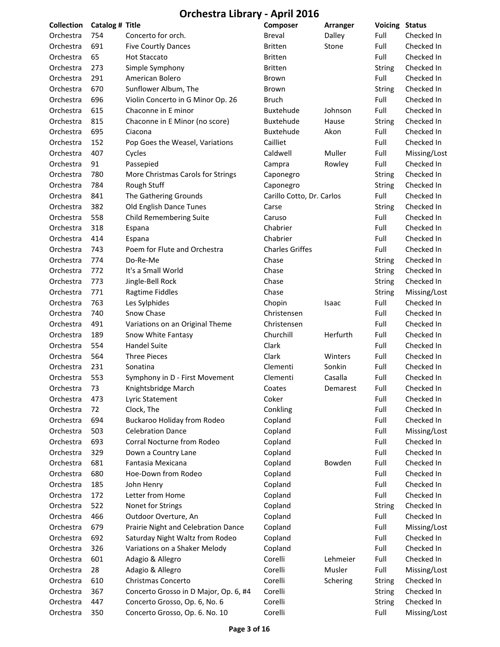| <b>Collection</b> | Catalog # Title |                                       | Composer                  | Arranger | <b>Voicing Status</b> |              |
|-------------------|-----------------|---------------------------------------|---------------------------|----------|-----------------------|--------------|
| Orchestra         | 754             | Concerto for orch.                    | <b>Breval</b>             | Dalley   | Full                  | Checked In   |
| Orchestra         | 691             | <b>Five Courtly Dances</b>            | <b>Britten</b>            | Stone    | Full                  | Checked In   |
| Orchestra         | 65              | <b>Hot Staccato</b>                   | <b>Britten</b>            |          | Full                  | Checked In   |
| Orchestra         | 273             | Simple Symphony                       | <b>Britten</b>            |          | <b>String</b>         | Checked In   |
| Orchestra         | 291             | American Bolero                       | Brown                     |          | Full                  | Checked In   |
| Orchestra         | 670             | Sunflower Album, The                  | Brown                     |          | <b>String</b>         | Checked In   |
| Orchestra         | 696             | Violin Concerto in G Minor Op. 26     | <b>Bruch</b>              |          | Full                  | Checked In   |
| Orchestra         | 615             | Chaconne in E minor                   | Buxtehude                 | Johnson  | Full                  | Checked In   |
| Orchestra         | 815             | Chaconne in E Minor (no score)        | Buxtehude                 | Hause    | <b>String</b>         | Checked In   |
| Orchestra         | 695             | Ciacona                               | Buxtehude                 | Akon     | Full                  | Checked In   |
| Orchestra         | 152             | Pop Goes the Weasel, Variations       | Cailliet                  |          | Full                  | Checked In   |
| Orchestra         | 407             | Cycles                                | Caldwell                  | Muller   | Full                  | Missing/Lost |
| Orchestra         | 91              | Passepied                             | Campra                    | Rowley   | Full                  | Checked In   |
| Orchestra         | 780             | More Christmas Carols for Strings     | Caponegro                 |          | String                | Checked In   |
| Orchestra         | 784             | Rough Stuff                           | Caponegro                 |          | <b>String</b>         | Checked In   |
| Orchestra         | 841             | The Gathering Grounds                 | Carillo Cotto, Dr. Carlos |          | Full                  | Checked In   |
| Orchestra         | 382             | Old English Dance Tunes               | Carse                     |          | <b>String</b>         | Checked In   |
| Orchestra         | 558             | <b>Child Remembering Suite</b>        | Caruso                    |          | Full                  | Checked In   |
| Orchestra         | 318             | Espana                                | Chabrier                  |          | Full                  | Checked In   |
| Orchestra         | 414             | Espana                                | Chabrier                  |          | Full                  | Checked In   |
| Orchestra         | 743             | Poem for Flute and Orchestra          | <b>Charles Griffes</b>    |          | Full                  | Checked In   |
| Orchestra         | 774             | Do-Re-Me                              | Chase                     |          | String                | Checked In   |
| Orchestra         | 772             | It's a Small World                    | Chase                     |          | <b>String</b>         | Checked In   |
| Orchestra         | 773             | Jingle-Bell Rock                      | Chase                     |          | <b>String</b>         | Checked In   |
| Orchestra         | 771             | Ragtime Fiddles                       | Chase                     |          | <b>String</b>         | Missing/Lost |
| Orchestra         | 763             | Les Sylphides                         | Chopin                    | Isaac    | Full                  | Checked In   |
| Orchestra         | 740             | Snow Chase                            | Christensen               |          | Full                  | Checked In   |
| Orchestra         | 491             | Variations on an Original Theme       | Christensen               |          | Full                  | Checked In   |
| Orchestra         | 189             | Snow White Fantasy                    | Churchill                 | Herfurth | Full                  | Checked In   |
| Orchestra         | 554             | <b>Handel Suite</b>                   | Clark                     |          | Full                  | Checked In   |
| Orchestra         | 564             | <b>Three Pieces</b>                   | Clark                     | Winters  | Full                  | Checked In   |
| Orchestra         | 231             | Sonatina                              | Clementi                  | Sonkin   | Full                  | Checked In   |
|                   | 553             | Symphony in D - First Movement        | Clementi                  | Casalla  | Full                  | Checked In   |
| Orchestra         |                 |                                       |                           |          |                       |              |
| Orchestra         | 73              | Knightsbridge March                   | Coates                    | Demarest | Full                  | Checked In   |
| Orchestra         | 473             | Lyric Statement                       | Coker                     |          | Full                  | Checked In   |
| Orchestra         | 72              | Clock, The                            | Conkling                  |          | Full                  | Checked In   |
| Orchestra         | 694             | Buckaroo Holiday from Rodeo           | Copland                   |          | Full                  | Checked In   |
| Orchestra         | 503             | <b>Celebration Dance</b>              | Copland                   |          | Full                  | Missing/Lost |
| Orchestra         | 693             | Corral Nocturne from Rodeo            | Copland                   |          | Full                  | Checked In   |
| Orchestra         | 329             | Down a Country Lane                   | Copland                   |          | Full                  | Checked In   |
| Orchestra         | 681             | Fantasia Mexicana                     | Copland                   | Bowden   | Full                  | Checked In   |
| Orchestra         | 680             | Hoe-Down from Rodeo                   | Copland                   |          | Full                  | Checked In   |
| Orchestra         | 185             | John Henry                            | Copland                   |          | Full                  | Checked In   |
| Orchestra         | 172             | Letter from Home                      | Copland                   |          | Full                  | Checked In   |
| Orchestra         | 522             | Nonet for Strings                     | Copland                   |          | <b>String</b>         | Checked In   |
| Orchestra         | 466             | Outdoor Overture, An                  | Copland                   |          | Full                  | Checked In   |
| Orchestra         | 679             | Prairie Night and Celebration Dance   | Copland                   |          | Full                  | Missing/Lost |
| Orchestra         | 692             | Saturday Night Waltz from Rodeo       | Copland                   |          | Full                  | Checked In   |
| Orchestra         | 326             | Variations on a Shaker Melody         | Copland                   |          | Full                  | Checked In   |
| Orchestra         | 601             | Adagio & Allegro                      | Corelli                   | Lehmeier | Full                  | Checked In   |
| Orchestra         | 28              | Adagio & Allegro                      | Corelli                   | Musler   | Full                  | Missing/Lost |
| Orchestra         | 610             | Christmas Concerto                    | Corelli                   | Schering | String                | Checked In   |
| Orchestra         | 367             | Concerto Grosso in D Major, Op. 6, #4 | Corelli                   |          | <b>String</b>         | Checked In   |
| Orchestra         | 447             | Concerto Grosso, Op. 6, No. 6         | Corelli                   |          | <b>String</b>         | Checked In   |
| Orchestra         | 350             | Concerto Grosso, Op. 6. No. 10        | Corelli                   |          | Full                  | Missing/Lost |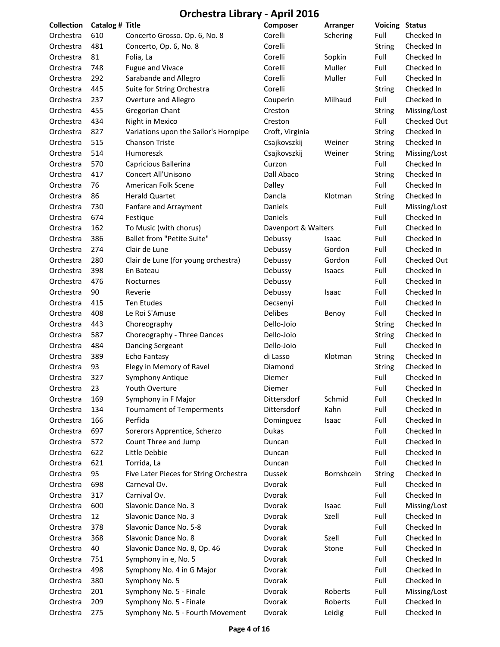| <b>Collection</b>      | Catalog # Title |                                        | Composer            | <b>Arranger</b> | <b>Voicing Status</b> |              |
|------------------------|-----------------|----------------------------------------|---------------------|-----------------|-----------------------|--------------|
| Orchestra              | 610             | Concerto Grosso. Op. 6, No. 8          | Corelli             | Schering        | Full                  | Checked In   |
| Orchestra              | 481             | Concerto, Op. 6, No. 8                 | Corelli             |                 | <b>String</b>         | Checked In   |
| Orchestra              | 81              | Folia, La                              | Corelli             | Sopkin          | Full                  | Checked In   |
| Orchestra              | 748             | Fugue and Vivace                       | Corelli             | Muller          | Full                  | Checked In   |
| Orchestra              | 292             | Sarabande and Allegro                  | Corelli             | Muller          | Full                  | Checked In   |
| Orchestra              | 445             | Suite for String Orchestra             | Corelli             |                 | <b>String</b>         | Checked In   |
| Orchestra              | 237             | Overture and Allegro                   | Couperin            | Milhaud         | Full                  | Checked In   |
| Orchestra              | 455             | Gregorian Chant                        | Creston             |                 | <b>String</b>         | Missing/Lost |
| Orchestra              | 434             | Night in Mexico                        | Creston             |                 | Full                  | Checked Out  |
| Orchestra              | 827             | Variations upon the Sailor's Hornpipe  | Croft, Virginia     |                 | String                | Checked In   |
| Orchestra              | 515             | <b>Chanson Triste</b>                  | Csajkovszkij        | Weiner          | <b>String</b>         | Checked In   |
| Orchestra              | 514             | Humoreszk                              | Csajkovszkij        | Weiner          | String                | Missing/Lost |
| Orchestra              | 570             | Capricious Ballerina                   | Curzon              |                 | Full                  | Checked In   |
| Orchestra              | 417             | Concert All'Unisono                    | Dall Abaco          |                 | <b>String</b>         | Checked In   |
| Orchestra              | 76              | American Folk Scene                    | Dalley              |                 | Full                  | Checked In   |
| Orchestra              | 86              | <b>Herald Quartet</b>                  | Dancla              | Klotman         | <b>String</b>         | Checked In   |
| Orchestra              | 730             | Fanfare and Arrayment                  | Daniels             |                 | Full                  | Missing/Lost |
| Orchestra              | 674             | Festique                               | Daniels             |                 | Full                  | Checked In   |
| Orchestra              | 162             | To Music (with chorus)                 | Davenport & Walters |                 | Full                  | Checked In   |
| Orchestra              | 386             | <b>Ballet from "Petite Suite"</b>      | Debussy             | Isaac           | Full                  | Checked In   |
| Orchestra              | 274             | Clair de Lune                          | Debussy             | Gordon          | Full                  | Checked In   |
| Orchestra              | 280             | Clair de Lune (for young orchestra)    | Debussy             | Gordon          | Full                  | Checked Out  |
| Orchestra              | 398             | En Bateau                              | Debussy             | Isaacs          | Full                  | Checked In   |
| Orchestra              | 476             | <b>Nocturnes</b>                       | Debussy             |                 | Full                  | Checked In   |
| Orchestra              | 90              | Reverie                                | Debussy             | Isaac           | Full                  | Checked In   |
| Orchestra              | 415             | <b>Ten Etudes</b>                      | Decsenyi            |                 | Full                  | Checked In   |
| Orchestra              | 408             | Le Roi S'Amuse                         | <b>Delibes</b>      | Benoy           | Full                  | Checked In   |
| Orchestra              | 443             | Choreography                           | Dello-Joio          |                 | <b>String</b>         | Checked In   |
| Orchestra              | 587             | Choreography - Three Dances            | Dello-Joio          |                 | String                | Checked In   |
| Orchestra              | 484             | Dancing Sergeant                       | Dello-Joio          |                 | Full                  | Checked In   |
|                        | 389             | Echo Fantasy                           |                     | Klotman         |                       | Checked In   |
| Orchestra<br>Orchestra | 93              |                                        | di Lasso            |                 | <b>String</b>         | Checked In   |
| Orchestra              | 327             | Elegy in Memory of Ravel               | Diamond<br>Diemer   |                 | <b>String</b><br>Full | Checked In   |
|                        |                 | Symphony Antique                       |                     |                 |                       |              |
| Orchestra              | 23              | Youth Overture                         | Diemer              |                 | Full                  | Checked In   |
| Orchestra              | 169             | Symphony in F Major                    | Dittersdorf         | Schmid          | Full                  | Checked In   |
| Orchestra              | 134             | <b>Tournament of Temperments</b>       | Dittersdorf         | Kahn            | Full                  | Checked In   |
| Orchestra              | 166             | Perfida                                | Dominguez           | Isaac           | Full                  | Checked In   |
| Orchestra              | 697             | Sorerors Apprentice, Scherzo           | Dukas               |                 | Full                  | Checked In   |
| Orchestra              | 572             | Count Three and Jump                   | Duncan              |                 | Full                  | Checked In   |
| Orchestra              | 622             | Little Debbie                          | Duncan              |                 | Full                  | Checked In   |
| Orchestra              | 621             | Torrida, La                            | Duncan              |                 | Full                  | Checked In   |
| Orchestra              | 95              | Five Later Pieces for String Orchestra | <b>Dussek</b>       | Bornshcein      | String                | Checked In   |
| Orchestra              | 698             | Carneval Ov.                           | Dvorak              |                 | Full                  | Checked In   |
| Orchestra              | 317             | Carnival Ov.                           | Dvorak              |                 | Full                  | Checked In   |
| Orchestra              | 600             | Slavonic Dance No. 3                   | Dvorak              | Isaac           | Full                  | Missing/Lost |
| Orchestra              | 12              | Slavonic Dance No. 3                   | Dvorak              | Szell           | Full                  | Checked In   |
| Orchestra              | 378             | Slavonic Dance No. 5-8                 | Dvorak              |                 | Full                  | Checked In   |
| Orchestra              | 368             | Slavonic Dance No. 8                   | Dvorak              | Szell           | Full                  | Checked In   |
| Orchestra              | 40              | Slavonic Dance No. 8, Op. 46           | Dvorak              | Stone           | Full                  | Checked In   |
| Orchestra              | 751             | Symphony in e, No. 5                   | Dvorak              |                 | Full                  | Checked In   |
| Orchestra              | 498             | Symphony No. 4 in G Major              | Dvorak              |                 | Full                  | Checked In   |
| Orchestra              | 380             | Symphony No. 5                         | Dvorak              |                 | Full                  | Checked In   |
| Orchestra              | 201             | Symphony No. 5 - Finale                | Dvorak              | Roberts         | Full                  | Missing/Lost |
| Orchestra              | 209             | Symphony No. 5 - Finale                | Dvorak              | Roberts         | Full                  | Checked In   |
| Orchestra              | 275             | Symphony No. 5 - Fourth Movement       | Dvorak              | Leidig          | Full                  | Checked In   |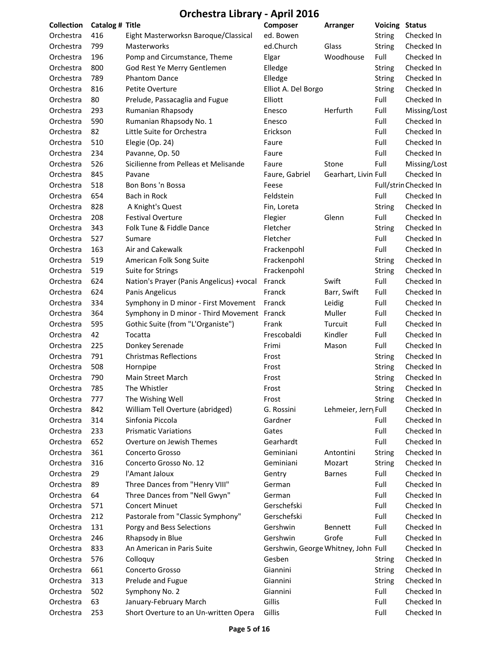| <b>Collection</b>      | Catalog # Title |                                             | Composer                            | Arranger             | <b>Voicing Status</b> |                          |
|------------------------|-----------------|---------------------------------------------|-------------------------------------|----------------------|-----------------------|--------------------------|
| Orchestra              | 416             | Eight Masterworksn Baroque/Classical        | ed. Bowen                           |                      | <b>String</b>         | Checked In               |
| Orchestra              | 799             | <b>Masterworks</b>                          | ed.Church                           | Glass                | String                | Checked In               |
| Orchestra              | 196             | Pomp and Circumstance, Theme                | Elgar                               | Woodhouse            | Full                  | Checked In               |
| Orchestra              | 800             | God Rest Ye Merry Gentlemen                 | Elledge                             |                      | <b>String</b>         | Checked In               |
| Orchestra              | 789             | <b>Phantom Dance</b>                        | Elledge                             |                      | <b>String</b>         | Checked In               |
| Orchestra              | 816             | Petite Overture                             | Elliot A. Del Borgo                 |                      | <b>String</b>         | Checked In               |
| Orchestra              | 80              | Prelude, Passacaglia and Fugue              | Elliott                             |                      | Full                  | Checked In               |
| Orchestra              | 293             | Rumanian Rhapsody                           | Enesco                              | Herfurth             | Full                  | Missing/Lost             |
| Orchestra              | 590             | Rumanian Rhapsody No. 1                     | Enesco                              |                      | Full                  | Checked In               |
| Orchestra              | 82              | Little Suite for Orchestra                  | Erickson                            |                      | Full                  | Checked In               |
| Orchestra              | 510             | Elegie (Op. 24)                             | Faure                               |                      | Full                  | Checked In               |
| Orchestra              | 234             | Pavanne, Op. 50                             | Faure                               |                      | Full                  | Checked In               |
| Orchestra              | 526             | Sicilienne from Pelleas et Melisande        | Faure                               | Stone                | Full                  | Missing/Lost             |
| Orchestra              | 845             | Pavane                                      | Faure, Gabriel                      | Gearhart, Livin Full |                       | Checked In               |
| Orchestra              | 518             | Bon Bons 'n Bossa                           | Feese                               |                      |                       | Full/strin Checked In    |
| Orchestra              | 654             | Bach in Rock                                | Feldstein                           |                      | Full                  | Checked In               |
| Orchestra              | 828             | A Knight's Quest                            | Fin, Loreta                         |                      | <b>String</b>         | Checked In               |
| Orchestra              | 208             | <b>Festival Overture</b>                    | Flegier                             | Glenn                | Full                  | Checked In               |
| Orchestra              | 343             | Folk Tune & Fiddle Dance                    | Fletcher                            |                      | <b>String</b>         | Checked In               |
| Orchestra              | 527             | Sumare                                      | Fletcher                            |                      | Full                  | Checked In               |
| Orchestra              | 163             | Air and Cakewalk                            | Frackenpohl                         |                      | Full                  | Checked In               |
| Orchestra              | 519             | American Folk Song Suite                    | Frackenpohl                         |                      | String                | Checked In               |
| Orchestra              | 519             | Suite for Strings                           | Frackenpohl                         |                      | <b>String</b>         | Checked In               |
| Orchestra              | 624             | Nation's Prayer (Panis Angelicus) +vocal    | Franck                              | Swift                | Full                  | Checked In               |
| Orchestra              | 624             | Panis Angelicus                             | Franck                              | Barr, Swift          | Full                  | Checked In               |
| Orchestra              | 334             | Symphony in D minor - First Movement        | Franck                              | Leidig               | Full                  | Checked In               |
| Orchestra              | 364             | Symphony in D minor - Third Movement Franck |                                     | Muller               | Full                  | Checked In               |
| Orchestra              | 595             | Gothic Suite (from "L'Organiste")           | Frank                               | Turcuit              | Full                  | Checked In               |
| Orchestra              | 42              | Tocatta                                     | Frescobaldi                         | Kindler              | Full                  | Checked In               |
| Orchestra              | 225             | Donkey Serenade                             | Frimi                               | Mason                | Full                  | Checked In               |
| Orchestra              | 791             | <b>Christmas Reflections</b>                | Frost                               |                      | <b>String</b>         | Checked In               |
| Orchestra              | 508             | Hornpipe                                    | Frost                               |                      | <b>String</b>         | Checked In               |
| Orchestra              | 790             | Main Street March                           | Frost                               |                      | <b>String</b>         | Checked In               |
| Orchestra              | 785             | The Whistler                                | Frost                               |                      | String                | Checked In               |
| Orchestra              | 777             | The Wishing Well                            | Frost                               |                      | <b>String</b>         | Checked In               |
| Orchestra              | 842             | William Tell Overture (abridged)            | G. Rossini                          | Lehmeier, Jerry Full |                       | Checked In               |
| Orchestra              | 314             | Sinfonia Piccola                            | Gardner                             |                      | Full                  | Checked In               |
| Orchestra              | 233             | <b>Prismatic Variations</b>                 | Gates                               |                      | Full                  | Checked In               |
| Orchestra              | 652             | Overture on Jewish Themes                   | Gearhardt                           |                      | Full                  | Checked In               |
| Orchestra              | 361             | Concerto Grosso                             | Geminiani                           | Antontini            | <b>String</b>         | Checked In               |
| Orchestra              | 316             | Concerto Grosso No. 12                      | Geminiani                           | Mozart               | <b>String</b>         | Checked In               |
| Orchestra              | 29              | l'Amant Jaloux                              | Gentry                              | <b>Barnes</b>        | Full                  | Checked In               |
| Orchestra              | 89              | Three Dances from "Henry VIII"              | German                              |                      | Full                  | Checked In               |
| Orchestra              | 64              | Three Dances from "Nell Gwyn"               | German                              |                      | Full                  | Checked In               |
|                        |                 | <b>Concert Minuet</b>                       | Gerschefski                         |                      |                       |                          |
| Orchestra              | 571<br>212      |                                             | Gerschefski                         |                      | Full                  | Checked In<br>Checked In |
| Orchestra              | 131             | Pastorale from "Classic Symphony"           | Gershwin                            | Bennett              | Full<br>Full          | Checked In               |
| Orchestra<br>Orchestra | 246             | Porgy and Bess Selections                   | Gershwin                            | Grofe                | Full                  | Checked In               |
|                        |                 | Rhapsody in Blue                            |                                     |                      |                       |                          |
| Orchestra              | 833             | An American in Paris Suite                  | Gershwin, George Whitney, John Full |                      |                       | Checked In               |
| Orchestra              | 576             | Colloquy                                    | Gesben                              |                      | <b>String</b>         | Checked In               |
| Orchestra              | 661             | Concerto Grosso                             | Giannini                            |                      | <b>String</b>         | Checked In               |
| Orchestra              | 313             | Prelude and Fugue                           | Giannini                            |                      | <b>String</b>         | Checked In               |
| Orchestra              | 502             | Symphony No. 2                              | Giannini                            |                      | Full                  | Checked In               |
| Orchestra              | 63              | January-February March                      | Gillis<br>Gillis                    |                      | Full                  | Checked In               |
| Orchestra              | 253             | Short Overture to an Un-written Opera       |                                     |                      | Full                  | Checked In               |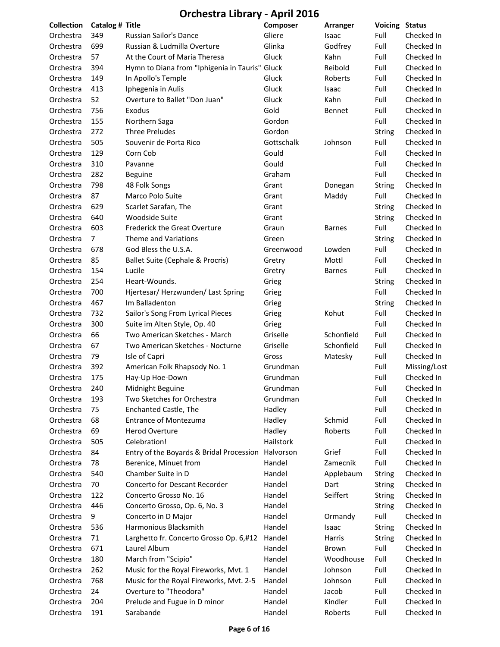| <b>Collection</b>      | Catalog # Title |                                                | Composer            | Arranger      | Voicing       | <b>Status</b>            |
|------------------------|-----------------|------------------------------------------------|---------------------|---------------|---------------|--------------------------|
| Orchestra              | 349             | <b>Russian Sailor's Dance</b>                  | Gliere              | Isaac         | Full          | Checked In               |
| Orchestra              | 699             | Russian & Ludmilla Overture                    | Glinka              | Godfrey       | Full          | Checked In               |
| Orchestra              | 57              | At the Court of Maria Theresa                  | Gluck               | Kahn          | Full          | Checked In               |
| Orchestra              | 394             | Hymn to Diana from "Iphigenia in Tauris" Gluck |                     | Reibold       | Full          | Checked In               |
| Orchestra              | 149             | In Apollo's Temple                             | Gluck               | Roberts       | Full          | Checked In               |
| Orchestra              | 413             | Iphegenia in Aulis                             | Gluck               | Isaac         | Full          | Checked In               |
| Orchestra              | 52              | Overture to Ballet "Don Juan"                  | Gluck               | Kahn          | Full          | Checked In               |
| Orchestra              | 756             | Exodus                                         | Gold                | Bennet        | Full          | Checked In               |
| Orchestra              | 155             | Northern Saga                                  | Gordon              |               | Full          | Checked In               |
| Orchestra              | 272             | <b>Three Preludes</b>                          | Gordon              |               | <b>String</b> | Checked In               |
| Orchestra              | 505             | Souvenir de Porta Rico                         | Gottschalk          | Johnson       | Full          | Checked In               |
| Orchestra              | 129             | Corn Cob                                       | Gould               |               | Full          | Checked In               |
| Orchestra              | 310             | Pavanne                                        | Gould               |               | Full          | Checked In               |
| Orchestra              | 282             | <b>Beguine</b>                                 | Graham              |               | Full          | Checked In               |
| Orchestra              | 798             | 48 Folk Songs                                  | Grant               | Donegan       | <b>String</b> | Checked In               |
| Orchestra              | 87              | Marco Polo Suite                               | Grant               | Maddy         | Full          | Checked In               |
| Orchestra              | 629             | Scarlet Sarafan, The                           | Grant               |               | <b>String</b> | Checked In               |
| Orchestra              | 640             | Woodside Suite                                 | Grant               |               | <b>String</b> | Checked In               |
| Orchestra              | 603             | <b>Frederick the Great Overture</b>            | Graun               | <b>Barnes</b> | Full          | Checked In               |
| Orchestra              | $\overline{7}$  | Theme and Variations                           | Green               |               | <b>String</b> | Checked In               |
| Orchestra              | 678             | God Bless the U.S.A.                           | Greenwood           | Lowden        | Full          | Checked In               |
| Orchestra              | 85              | Ballet Suite (Cephale & Procris)               | Gretry              | Mottl         | Full          | Checked In               |
| Orchestra              | 154             | Lucile                                         | Gretry              | <b>Barnes</b> | Full          | Checked In               |
| Orchestra              | 254             | Heart-Wounds.                                  | Grieg               |               | <b>String</b> | Checked In               |
| Orchestra              | 700             | Hjertesar/ Herzwunden/ Last Spring             | Grieg               |               | Full          | Checked In               |
| Orchestra              | 467             | Im Balladenton                                 | Grieg               |               | <b>String</b> | Checked In               |
| Orchestra              | 732             | Sailor's Song From Lyrical Pieces              | Grieg               | Kohut         | Full          | Checked In               |
| Orchestra              | 300             | Suite im Alten Style, Op. 40                   | Grieg               |               | Full          | Checked In               |
| Orchestra              | 66              | Two American Sketches - March                  | Griselle            | Schonfield    | Full          | Checked In               |
| Orchestra              | 67              | Two American Sketches - Nocturne               | Griselle            | Schonfield    | Full          | Checked In               |
| Orchestra              | 79              | Isle of Capri                                  | Gross               | Matesky       | Full          | Checked In               |
| Orchestra              | 392             | American Folk Rhapsody No. 1                   | Grundman            |               | Full          | Missing/Lost             |
| Orchestra              | 175             | Hay-Up Hoe-Down                                | Grundman            |               | Full          | Checked In               |
|                        | 240             |                                                |                     |               | Full          | Checked In               |
| Orchestra<br>Orchestra |                 | Midnight Beguine                               | Grundman            |               |               | Checked In               |
|                        | 193             | Two Sketches for Orchestra                     | Grundman<br>Hadley  |               | Full<br>Full  | Checked In               |
| Orchestra              | 75              | Enchanted Castle, The                          |                     |               |               | Checked In               |
| Orchestra              | 68              | <b>Entrance of Montezuma</b>                   | Hadley              | Schmid        | Full          |                          |
| Orchestra              | 69<br>505       | <b>Herod Overture</b>                          | Hadley<br>Hailstork | Roberts       | Full          | Checked In               |
| Orchestra              | 84              | Celebration!                                   | Halvorson           | Grief         | Full<br>Full  | Checked In<br>Checked In |
| Orchestra              |                 | Entry of the Boyards & Bridal Procession       |                     |               |               |                          |
| Orchestra              | 78              | Berenice, Minuet from                          | Handel              | Zamecnik      | Full          | Checked In               |
| Orchestra              | 540             | Chamber Suite in D                             | Handel              | Applebaum     | <b>String</b> | Checked In               |
| Orchestra              | 70              | Concerto for Descant Recorder                  | Handel              | Dart          | <b>String</b> | Checked In               |
| Orchestra              | 122             | Concerto Grosso No. 16                         | Handel              | Seiffert      | <b>String</b> | Checked In               |
| Orchestra              | 446             | Concerto Grosso, Op. 6, No. 3                  | Handel              |               | <b>String</b> | Checked In               |
| Orchestra              | 9               | Concerto in D Major                            | Handel              | Ormandy       | Full          | Checked In               |
| Orchestra              | 536             | Harmonious Blacksmith                          | Handel              | Isaac         | <b>String</b> | Checked In               |
| Orchestra              | 71              | Larghetto fr. Concerto Grosso Op. 6,#12        | Handel              | Harris        | <b>String</b> | Checked In               |
| Orchestra              | 671             | Laurel Album                                   | Handel              | Brown         | Full          | Checked In               |
| Orchestra              | 180             | March from "Scipio"                            | Handel              | Woodhouse     | Full          | Checked In               |
| Orchestra              | 262             | Music for the Royal Fireworks, Mvt. 1          | Handel              | Johnson       | Full          | Checked In               |
| Orchestra              | 768             | Music for the Royal Fireworks, Mvt. 2-5        | Handel              | Johnson       | Full          | Checked In               |
| Orchestra              | 24              | Overture to "Theodora"                         | Handel              | Jacob         | Full          | Checked In               |
| Orchestra              | 204             | Prelude and Fugue in D minor                   | Handel              | Kindler       | Full          | Checked In               |
| Orchestra              | 191             | Sarabande                                      | Handel              | Roberts       | Full          | Checked In               |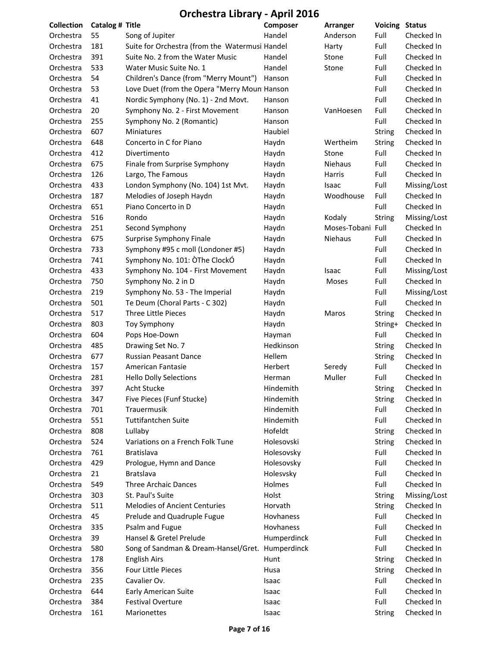| <b>Collection</b> | Catalog # Title |                                                  | Composer    | Arranger          | <b>Voicing</b> | <b>Status</b> |
|-------------------|-----------------|--------------------------------------------------|-------------|-------------------|----------------|---------------|
| Orchestra         | 55              | Song of Jupiter                                  | Handel      | Anderson          | Full           | Checked In    |
| Orchestra         | 181             | Suite for Orchestra (from the Watermusi Handel   |             | Harty             | Full           | Checked In    |
| Orchestra         | 391             | Suite No. 2 from the Water Music                 | Handel      | Stone             | Full           | Checked In    |
| Orchestra         | 533             | Water Music Suite No. 1                          | Handel      | Stone             | Full           | Checked In    |
| Orchestra         | 54              | Children's Dance (from "Merry Mount")            | Hanson      |                   | Full           | Checked In    |
| Orchestra         | 53              | Love Duet (from the Opera "Merry Moun Hanson     |             |                   | Full           | Checked In    |
| Orchestra         | 41              | Nordic Symphony (No. 1) - 2nd Movt.              | Hanson      |                   | Full           | Checked In    |
| Orchestra         | 20              | Symphony No. 2 - First Movement                  | Hanson      | VanHoesen         | Full           | Checked In    |
| Orchestra         | 255             | Symphony No. 2 (Romantic)                        | Hanson      |                   | Full           | Checked In    |
| Orchestra         | 607             | Miniatures                                       | Haubiel     |                   | String         | Checked In    |
| Orchestra         | 648             | Concerto in C for Piano                          | Haydn       | Wertheim          | String         | Checked In    |
| Orchestra         | 412             | Divertimento                                     | Haydn       | Stone             | Full           | Checked In    |
| Orchestra         | 675             | Finale from Surprise Symphony                    | Haydn       | <b>Niehaus</b>    | Full           | Checked In    |
| Orchestra         | 126             | Largo, The Famous                                | Haydn       | Harris            | Full           | Checked In    |
| Orchestra         | 433             | London Symphony (No. 104) 1st Mvt.               | Haydn       | Isaac             | Full           | Missing/Lost  |
| Orchestra         | 187             | Melodies of Joseph Haydn                         | Haydn       | Woodhouse         | Full           | Checked In    |
| Orchestra         | 651             | Piano Concerto in D                              | Haydn       |                   | Full           | Checked In    |
| Orchestra         | 516             | Rondo                                            | Haydn       | Kodaly            | String         | Missing/Lost  |
| Orchestra         | 251             | Second Symphony                                  | Haydn       | Moses-Tobani Full |                | Checked In    |
| Orchestra         | 675             | Surprise Symphony Finale                         | Haydn       | Niehaus           | Full           | Checked In    |
| Orchestra         | 733             | Symphony #95 c moll (Londoner #5)                | Haydn       |                   | Full           | Checked In    |
| Orchestra         | 741             | Symphony No. 101: ÒThe ClockÓ                    | Haydn       |                   | Full           | Checked In    |
| Orchestra         | 433             | Symphony No. 104 - First Movement                | Haydn       | Isaac             | Full           | Missing/Lost  |
| Orchestra         | 750             | Symphony No. 2 in D                              | Haydn       | Moses             | Full           | Checked In    |
| Orchestra         | 219             | Symphony No. 53 - The Imperial                   | Haydn       |                   | Full           | Missing/Lost  |
| Orchestra         | 501             | Te Deum (Choral Parts - C 302)                   | Haydn       |                   | Full           | Checked In    |
| Orchestra         | 517             | Three Little Pieces                              | Haydn       | Maros             | <b>String</b>  | Checked In    |
| Orchestra         | 803             | <b>Toy Symphony</b>                              | Haydn       |                   | String+        | Checked In    |
| Orchestra         | 604             | Pops Hoe-Down                                    | Hayman      |                   | Full           | Checked In    |
| Orchestra         | 485             | Drawing Set No. 7                                | Hedkinson   |                   | <b>String</b>  | Checked In    |
| Orchestra         | 677             | Russian Peasant Dance                            | Hellem      |                   | <b>String</b>  | Checked In    |
| Orchestra         | 157             | American Fantasie                                | Herbert     | Seredy            | Full           | Checked In    |
| Orchestra         | 281             | <b>Hello Dolly Selections</b>                    | Herman      | Muller            | Full           | Checked In    |
| Orchestra         | 397             | Acht Stucke                                      | Hindemith   |                   | <b>String</b>  | Checked In    |
| Orchestra         | 347             | Five Pieces (Funf Stucke)                        | Hindemith   |                   | <b>String</b>  | Checked In    |
| Orchestra         | 701             | Trauermusik                                      | Hindemith   |                   | Full           | Checked In    |
| Orchestra         | 551             | <b>Tuttifantchen Suite</b>                       | Hindemith   |                   | Full           | Checked In    |
| Orchestra         | 808             | Lullaby                                          | Hofeldt     |                   | <b>String</b>  | Checked In    |
| Orchestra         | 524             | Variations on a French Folk Tune                 | Holesovski  |                   | <b>String</b>  | Checked In    |
| Orchestra         | 761             | <b>Bratislava</b>                                | Holesovsky  |                   | Full           | Checked In    |
| Orchestra         | 429             | Prologue, Hymn and Dance                         | Holesovsky  |                   | Full           | Checked In    |
| Orchestra         | 21              | <b>Bratslava</b>                                 | Holesvsky   |                   | Full           | Checked In    |
| Orchestra         | 549             | <b>Three Archaic Dances</b>                      | Holmes      |                   | Full           | Checked In    |
| Orchestra         | 303             | St. Paul's Suite                                 | Holst       |                   | <b>String</b>  | Missing/Lost  |
| Orchestra         | 511             | Melodies of Ancient Centuries                    | Horvath     |                   | String         | Checked In    |
| Orchestra         | 45              | Prelude and Quadruple Fugue                      | Hovhaness   |                   | Full           | Checked In    |
| Orchestra         | 335             | Psalm and Fugue                                  | Hovhaness   |                   | Full           | Checked In    |
| Orchestra         | 39              | Hansel & Gretel Prelude                          | Humperdinck |                   | Full           | Checked In    |
| Orchestra         | 580             | Song of Sandman & Dream-Hansel/Gret. Humperdinck |             |                   | Full           | Checked In    |
| Orchestra         | 178             | English Airs                                     | Hunt        |                   | String         | Checked In    |
| Orchestra         | 356             | Four Little Pieces                               | Husa        |                   | String         | Checked In    |
| Orchestra         | 235             | Cavalier Ov.                                     | Isaac       |                   | Full           | Checked In    |
| Orchestra         | 644             | Early American Suite                             | Isaac       |                   | Full           | Checked In    |
| Orchestra         | 384             | <b>Festival Overture</b>                         | Isaac       |                   | Full           | Checked In    |
| Orchestra         | 161             | Marionettes                                      | Isaac       |                   | String         | Checked In    |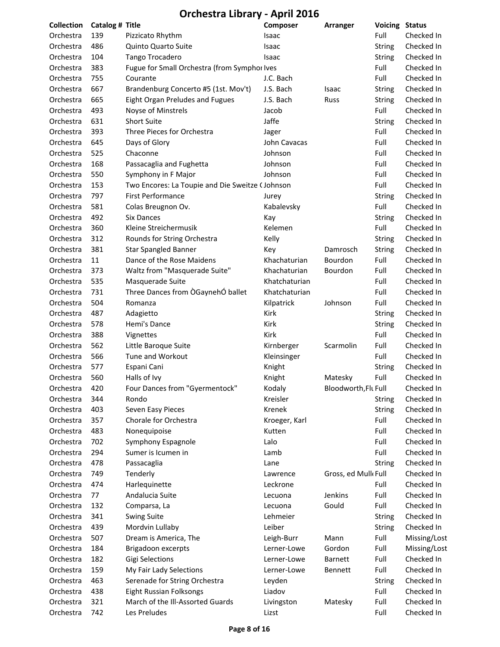| <b>Collection</b> | Catalog # Title |                                                 | Composer      | Arranger             | <b>Voicing Status</b> |              |
|-------------------|-----------------|-------------------------------------------------|---------------|----------------------|-----------------------|--------------|
| Orchestra         | 139             | Pizzicato Rhythm                                | Isaac         |                      | Full                  | Checked In   |
| Orchestra         | 486             | Quinto Quarto Suite                             | Isaac         |                      | <b>String</b>         | Checked In   |
| Orchestra         | 104             | <b>Tango Trocadero</b>                          | Isaac         |                      | <b>String</b>         | Checked In   |
| Orchestra         | 383             | Fugue for Small Orchestra (from Symphor Ives    |               |                      | Full                  | Checked In   |
| Orchestra         | 755             | Courante                                        | J.C. Bach     |                      | Full                  | Checked In   |
| Orchestra         | 667             | Brandenburg Concerto #5 (1st. Mov't)            | J.S. Bach     | Isaac                | <b>String</b>         | Checked In   |
| Orchestra         | 665             | Eight Organ Preludes and Fugues                 | J.S. Bach     | Russ                 | <b>String</b>         | Checked In   |
| Orchestra         | 493             | Noyse of Minstrels                              | Jacob         |                      | Full                  | Checked In   |
| Orchestra         | 631             | <b>Short Suite</b>                              | Jaffe         |                      | <b>String</b>         | Checked In   |
| Orchestra         | 393             | Three Pieces for Orchestra                      | Jager         |                      | Full                  | Checked In   |
| Orchestra         | 645             | Days of Glory                                   | John Cavacas  |                      | Full                  | Checked In   |
| Orchestra         | 525             | Chaconne                                        | Johnson       |                      | Full                  | Checked In   |
| Orchestra         | 168             | Passacaglia and Fughetta                        | Johnson       |                      | Full                  | Checked In   |
| Orchestra         | 550             | Symphony in F Major                             | Johnson       |                      | Full                  | Checked In   |
| Orchestra         | 153             | Two Encores: La Toupie and Die Sweitze (Johnson |               |                      | Full                  | Checked In   |
| Orchestra         | 797             | <b>First Performance</b>                        | Jurey         |                      | <b>String</b>         | Checked In   |
| Orchestra         | 581             | Colas Breugnon Ov.                              | Kabalevsky    |                      | Full                  | Checked In   |
| Orchestra         | 492             | <b>Six Dances</b>                               | Kay           |                      | <b>String</b>         | Checked In   |
| Orchestra         | 360             | Kleine Streichermusik                           | Kelemen       |                      | Full                  | Checked In   |
| Orchestra         | 312             | Rounds for String Orchestra                     | Kelly         |                      | <b>String</b>         | Checked In   |
| Orchestra         | 381             | <b>Star Spangled Banner</b>                     | Key           | Damrosch             | <b>String</b>         | Checked In   |
| Orchestra         | 11              | Dance of the Rose Maidens                       | Khachaturian  | Bourdon              | Full                  | Checked In   |
| Orchestra         | 373             | Waltz from "Masquerade Suite"                   | Khachaturian  | Bourdon              | Full                  | Checked In   |
| Orchestra         | 535             | Masquerade Suite                                | Khatchaturian |                      | Full                  | Checked In   |
| Orchestra         | 731             | Three Dances from OGaynehO ballet               | Khatchaturian |                      | Full                  | Checked In   |
| Orchestra         | 504             | Romanza                                         | Kilpatrick    | Johnson              | Full                  | Checked In   |
| Orchestra         | 487             | Adagietto                                       | Kirk          |                      | <b>String</b>         | Checked In   |
| Orchestra         | 578             | Hemi's Dance                                    | Kirk          |                      | <b>String</b>         | Checked In   |
| Orchestra         | 388             | Vignettes                                       | Kirk          |                      | Full                  | Checked In   |
| Orchestra         | 562             | Little Baroque Suite                            | Kirnberger    | Scarmolin            | Full                  | Checked In   |
| Orchestra         | 566             | Tune and Workout                                | Kleinsinger   |                      | Full                  | Checked In   |
| Orchestra         | 577             | Espani Cani                                     | Knight        |                      | String                | Checked In   |
| Orchestra         | 560             | Halls of Ivy                                    | Knight        | Matesky              | Full                  | Checked In   |
| Orchestra         | 420             | Four Dances from "Gyermentock"                  | Kodaly        | Bloodworth, Flt Full |                       | Checked In   |
| Orchestra         | 344             | Rondo                                           | Kreisler      |                      | <b>String</b>         | Checked In   |
| Orchestra         | 403             | Seven Easy Pieces                               | Krenek        |                      | <b>String</b>         | Checked In   |
| Orchestra         | 357             | Chorale for Orchestra                           | Kroeger, Karl |                      | Full                  | Checked In   |
| Orchestra         | 483             | Nonequipoise                                    | Kutten        |                      | Full                  | Checked In   |
| Orchestra         | 702             | Symphony Espagnole                              | Lalo          |                      | Full                  | Checked In   |
| Orchestra         | 294             | Sumer is Icumen in                              | Lamb          |                      | Full                  | Checked In   |
| Orchestra         | 478             | Passacaglia                                     | Lane          |                      | <b>String</b>         | Checked In   |
| Orchestra         | 749             | Tenderly                                        | Lawrence      | Gross, ed Mulk Full  |                       | Checked In   |
| Orchestra         | 474             | Harlequinette                                   | Leckrone      |                      | Full                  | Checked In   |
| Orchestra         | 77              | Andalucia Suite                                 | Lecuona       | Jenkins              | Full                  | Checked In   |
| Orchestra         | 132             | Comparsa, La                                    | Lecuona       | Gould                | Full                  | Checked In   |
| Orchestra         | 341             | <b>Swing Suite</b>                              | Lehmeier      |                      | <b>String</b>         | Checked In   |
| Orchestra         | 439             | Mordvin Lullaby                                 | Leiber        |                      | String                | Checked In   |
| Orchestra         | 507             | Dream is America, The                           | Leigh-Burr    | Mann                 | Full                  | Missing/Lost |
| Orchestra         | 184             | Brigadoon excerpts                              | Lerner-Lowe   | Gordon               | Full                  | Missing/Lost |
| Orchestra         | 182             | <b>Gigi Selections</b>                          | Lerner-Lowe   | <b>Barnett</b>       | Full                  | Checked In   |
| Orchestra         | 159             | My Fair Lady Selections                         | Lerner-Lowe   | Bennett              | Full                  | Checked In   |
| Orchestra         | 463             | Serenade for String Orchestra                   | Leyden        |                      | <b>String</b>         | Checked In   |
| Orchestra         | 438             | Eight Russian Folksongs                         | Liadov        |                      | Full                  | Checked In   |
| Orchestra         | 321             | March of the Ill-Assorted Guards                | Livingston    | Matesky              | Full                  | Checked In   |
| Orchestra         | 742             | Les Preludes                                    | Lizst         |                      | Full                  | Checked In   |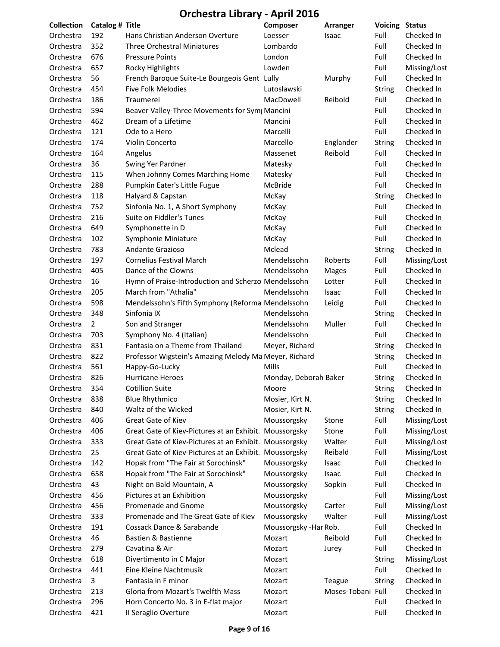| <b>Collection</b> | Catalog # Title |                                                        | Composer              | Arranger          | <b>Voicing Status</b> |              |
|-------------------|-----------------|--------------------------------------------------------|-----------------------|-------------------|-----------------------|--------------|
| Orchestra         | 192             | Hans Christian Anderson Overture                       | Loesser               | Isaac             | Full                  | Checked In   |
| Orchestra         | 352             | <b>Three Orchestral Miniatures</b>                     | Lombardo              |                   | Full                  | Checked In   |
| Orchestra         | 676             | <b>Pressure Points</b>                                 | London                |                   | Full                  | Checked In   |
| Orchestra         | 657             | <b>Rocky Highlights</b>                                | Lowden                |                   | Full                  | Missing/Lost |
| Orchestra         | 56              | French Baroque Suite-Le Bourgeois Gent Lully           |                       | Murphy            | Full                  | Checked In   |
| Orchestra         | 454             | <b>Five Folk Melodies</b>                              | Lutoslawski           |                   | String                | Checked In   |
| Orchestra         | 186             | Traumerei                                              | MacDowell             | Reibold           | Full                  | Checked In   |
| Orchestra         | 594             | Beaver Valley-Three Movements for Sym Mancini          |                       |                   | Full                  | Checked In   |
| Orchestra         | 462             | Dream of a Lifetime                                    | Mancini               |                   | Full                  | Checked In   |
| Orchestra         | 121             | Ode to a Hero                                          | Marcelli              |                   | Full                  | Checked In   |
| Orchestra         | 174             | Violin Concerto                                        | Marcello              | Englander         | <b>String</b>         | Checked In   |
| Orchestra         | 164             | Angelus                                                | Massenet              | Reibold           | Full                  | Checked In   |
| Orchestra         | 36              | Swing Yer Pardner                                      | Matesky               |                   | Full                  | Checked In   |
| Orchestra         | 115             | When Johnny Comes Marching Home                        | Matesky               |                   | Full                  | Checked In   |
| Orchestra         | 288             | Pumpkin Eater's Little Fugue                           | McBride               |                   | Full                  | Checked In   |
| Orchestra         | 118             | Halyard & Capstan                                      | McKay                 |                   | <b>String</b>         | Checked In   |
| Orchestra         | 752             | Sinfonia No. 1, A Short Symphony                       | McKay                 |                   | Full                  | Checked In   |
| Orchestra         | 216             | Suite on Fiddler's Tunes                               | McKay                 |                   | Full                  | Checked In   |
| Orchestra         | 649             | Symphonette in D                                       | McKay                 |                   | Full                  | Checked In   |
| Orchestra         | 102             | Symphonie Miniature                                    | McKay                 |                   | Full                  | Checked In   |
| Orchestra         | 783             | Andante Grazioso                                       | Mclead                |                   | <b>String</b>         | Checked In   |
| Orchestra         | 197             | <b>Cornelius Festival March</b>                        | Mendelssohn           | Roberts           | Full                  | Missing/Lost |
| Orchestra         | 405             | Dance of the Clowns                                    | Mendelssohn           | Mages             | Full                  | Checked In   |
| Orchestra         | 16              | Hymn of Praise-Introduction and Scherzo Mendelssohn    |                       | Lotter            | Full                  | Checked In   |
| Orchestra         | 205             | March from "Athalia"                                   | Mendelssohn           | Isaac             | Full                  | Checked In   |
| Orchestra         | 598             | Mendelssohn's Fifth Symphony (Reforma Mendelssohn      |                       | Leidig            | Full                  | Checked In   |
| Orchestra         | 348             | Sinfonia IX                                            | Mendelssohn           |                   | <b>String</b>         | Checked In   |
| Orchestra         | $\overline{2}$  | Son and Stranger                                       | Mendelssohn           | Muller            | Full                  | Checked In   |
| Orchestra         | 703             | Symphony No. 4 (Italian)                               | Mendelssohn           |                   | Full                  | Checked In   |
| Orchestra         | 831             | Fantasia on a Theme from Thailand                      | Meyer, Richard        |                   | <b>String</b>         | Checked In   |
| Orchestra         | 822             | Professor Wigstein's Amazing Melody Ma Meyer, Richard  |                       |                   | String                | Checked In   |
| Orchestra         | 561             | Happy-Go-Lucky                                         | Mills                 |                   | Full                  | Checked In   |
| Orchestra         | 826             | <b>Hurricane Heroes</b>                                | Monday, Deborah Baker |                   | <b>String</b>         | Checked In   |
| Orchestra         | 354             | <b>Cotillion Suite</b>                                 | Moore                 |                   | String                | Checked In   |
| Orchestra         | 838             | <b>Blue Rhythmico</b>                                  | Mosier, Kirt N.       |                   | String                | Checked In   |
| Orchestra         | 840             | Waltz of the Wicked                                    | Mosier, Kirt N.       |                   | String                | Checked In   |
| Orchestra         | 406             | Great Gate of Kiev                                     | Moussorgsky           | Stone             | Full                  | Missing/Lost |
| Orchestra         | 406             | Great Gate of Kiev-Pictures at an Exhibit. Moussorgsky |                       | Stone             | Full                  | Missing/Lost |
| Orchestra         | 333             | Great Gate of Kiev-Pictures at an Exhibit. Moussorgsky |                       | Walter            | Full                  | Missing/Lost |
| Orchestra         | 25              | Great Gate of Kiev-Pictures at an Exhibit. Moussorgsky |                       | Reibald           | Full                  | Missing/Lost |
| Orchestra         | 142             | Hopak from "The Fair at Sorochinsk"                    | Moussorgsky           | Isaac             | Full                  | Checked In   |
| Orchestra         | 658             | Hopak from "The Fair at Sorochinsk"                    | Moussorgsky           | Isaac             | Full                  | Checked In   |
| Orchestra         | 43              | Night on Bald Mountain, A                              | Moussorgsky           | Sopkin            | Full                  | Checked In   |
| Orchestra         | 456             | Pictures at an Exhibition                              | Moussorgsky           |                   | Full                  | Missing/Lost |
| Orchestra         | 456             | Promenade and Gnome                                    | Moussorgsky           | Carter            | Full                  | Missing/Lost |
| Orchestra         | 333             | Promenade and The Great Gate of Kiev                   | Moussorgsky           | Walter            | Full                  | Missing/Lost |
| Orchestra         | 191             | Cossack Dance & Sarabande                              | Moussorgsky -Har Rob. |                   | Full                  | Checked In   |
| Orchestra         | 46              | Bastien & Bastienne                                    | Mozart                | Reibold           | Full                  | Checked In   |
| Orchestra         | 279             | Cavatina & Air                                         | Mozart                | Jurey             | Full                  | Checked In   |
| Orchestra         | 618             | Divertimento in C Major                                | Mozart                |                   | String                | Missing/Lost |
| Orchestra         | 441             | Eine Kleine Nachtmusik                                 | Mozart                |                   | Full                  | Checked In   |
| Orchestra         | 3               | Fantasia in F minor                                    | Mozart                | Teague            | <b>String</b>         | Checked In   |
| Orchestra         | 213             | Gloria from Mozart's Twelfth Mass                      | Mozart                | Moses-Tobani Full |                       | Checked In   |
| Orchestra         | 296             | Horn Concerto No. 3 in E-flat major                    | Mozart                |                   | Full                  | Checked In   |
| Orchestra         | 421             | Il Seraglio Overture                                   | Mozart                |                   | Full                  | Checked In   |
|                   |                 |                                                        |                       |                   |                       |              |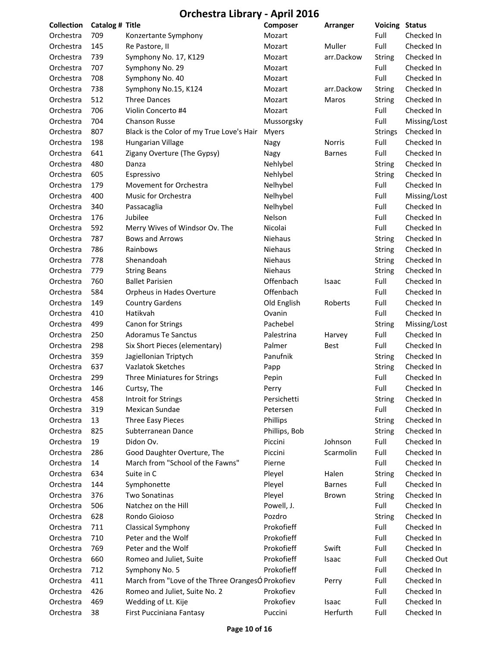| <b>Collection</b> | Catalog # Title |                                                  | Composer      | Arranger      | <b>Voicing Status</b> |              |
|-------------------|-----------------|--------------------------------------------------|---------------|---------------|-----------------------|--------------|
| Orchestra         | 709             | Konzertante Symphony                             | Mozart        |               | Full                  | Checked In   |
| Orchestra         | 145             | Re Pastore, II                                   | Mozart        | Muller        | Full                  | Checked In   |
| Orchestra         | 739             | Symphony No. 17, K129                            | Mozart        | arr.Dackow    | <b>String</b>         | Checked In   |
| Orchestra         | 707             | Symphony No. 29                                  | Mozart        |               | Full                  | Checked In   |
| Orchestra         | 708             | Symphony No. 40                                  | Mozart        |               | Full                  | Checked In   |
| Orchestra         | 738             | Symphony No.15, K124                             | Mozart        | arr.Dackow    | <b>String</b>         | Checked In   |
| Orchestra         | 512             | <b>Three Dances</b>                              | Mozart        | Maros         | <b>String</b>         | Checked In   |
| Orchestra         | 706             | Violin Concerto #4                               | Mozart        |               | Full                  | Checked In   |
| Orchestra         | 704             | <b>Chanson Russe</b>                             | Mussorgsky    |               | Full                  | Missing/Lost |
| Orchestra         | 807             | Black is the Color of my True Love's Hair        | Myers         |               | <b>Strings</b>        | Checked In   |
| Orchestra         | 198             | Hungarian Village                                | Nagy          | <b>Norris</b> | Full                  | Checked In   |
| Orchestra         | 641             | Zigany Overture (The Gypsy)                      | Nagy          | <b>Barnes</b> | Full                  | Checked In   |
| Orchestra         | 480             | Danza                                            | Nehlybel      |               | <b>String</b>         | Checked In   |
| Orchestra         | 605             | Espressivo                                       | Nehlybel      |               | <b>String</b>         | Checked In   |
| Orchestra         | 179             | Movement for Orchestra                           | Nelhybel      |               | Full                  | Checked In   |
| Orchestra         | 400             | Music for Orchestra                              | Nelhybel      |               | Full                  | Missing/Lost |
| Orchestra         | 340             | Passacaglia                                      | Nelhybel      |               | Full                  | Checked In   |
| Orchestra         | 176             | Jubilee                                          | Nelson        |               | Full                  | Checked In   |
| Orchestra         | 592             | Merry Wives of Windsor Ov. The                   | Nicolai       |               | Full                  | Checked In   |
| Orchestra         | 787             | <b>Bows and Arrows</b>                           | Niehaus       |               | String                | Checked In   |
| Orchestra         | 786             | Rainbows                                         | Niehaus       |               | <b>String</b>         | Checked In   |
| Orchestra         | 778             | Shenandoah                                       | Niehaus       |               | <b>String</b>         | Checked In   |
| Orchestra         | 779             | <b>String Beans</b>                              | Niehaus       |               | <b>String</b>         | Checked In   |
| Orchestra         | 760             | <b>Ballet Parisien</b>                           | Offenbach     | Isaac         | Full                  | Checked In   |
| Orchestra         | 584             | Orpheus in Hades Overture                        | Offenbach     |               | Full                  | Checked In   |
| Orchestra         | 149             | <b>Country Gardens</b>                           | Old English   | Roberts       | Full                  | Checked In   |
| Orchestra         | 410             | Hatikvah                                         | Ovanin        |               | Full                  | Checked In   |
| Orchestra         | 499             | Canon for Strings                                | Pachebel      |               | <b>String</b>         | Missing/Lost |
| Orchestra         | 250             | <b>Adoramus Te Sanctus</b>                       | Palestrina    | Harvey        | Full                  | Checked In   |
| Orchestra         | 298             | Six Short Pieces (elementary)                    | Palmer        | <b>Best</b>   | Full                  | Checked In   |
| Orchestra         | 359             | Jagiellonian Triptych                            | Panufnik      |               | <b>String</b>         | Checked In   |
| Orchestra         | 637             | Vazlatok Sketches                                | Papp          |               | <b>String</b>         | Checked In   |
| Orchestra         | 299             | Three Miniatures for Strings                     | Pepin         |               | Full                  | Checked In   |
| Orchestra         | 146             | Curtsy, The                                      | Perry         |               | Full                  | Checked In   |
| Orchestra         | 458             | Introit for Strings                              | Persichetti   |               | <b>String</b>         | Checked In   |
| Orchestra         | 319             | Mexican Sundae                                   | Petersen      |               | Full                  | Checked In   |
| Orchestra         | 13              | <b>Three Easy Pieces</b>                         | Phillips      |               | String                | Checked In   |
| Orchestra         | 825             | Subterranean Dance                               | Phillips, Bob |               | String                | Checked In   |
| Orchestra         | 19              | Didon Ov.                                        | Piccini       | Johnson       | Full                  | Checked In   |
| Orchestra         | 286             | Good Daughter Overture, The                      | Piccini       | Scarmolin     | Full                  | Checked In   |
| Orchestra         | 14              | March from "School of the Fawns"                 | Pierne        |               | Full                  | Checked In   |
| Orchestra         | 634             | Suite in C                                       | Pleyel        | Halen         | <b>String</b>         | Checked In   |
| Orchestra         | 144             | Symphonette                                      | Pleyel        | <b>Barnes</b> | Full                  | Checked In   |
| Orchestra         | 376             | Two Sonatinas                                    | Pleyel        | Brown         | <b>String</b>         | Checked In   |
| Orchestra         | 506             | Natchez on the Hill                              | Powell, J.    |               | Full                  | Checked In   |
| Orchestra         | 628             | Rondo Gioioso                                    | Pozdro        |               | String                | Checked In   |
| Orchestra         | 711             | Classical Symphony                               | Prokofieff    |               | Full                  | Checked In   |
| Orchestra         | 710             | Peter and the Wolf                               | Prokofieff    |               | Full                  | Checked In   |
| Orchestra         | 769             | Peter and the Wolf                               | Prokofieff    | Swift         | Full                  | Checked In   |
| Orchestra         | 660             | Romeo and Juliet, Suite                          | Prokofieff    | Isaac         | Full                  | Checked Out  |
| Orchestra         | 712             | Symphony No. 5                                   | Prokofieff    |               | Full                  | Checked In   |
| Orchestra         | 411             | March from "Love of the Three OrangesÓ Prokofiev |               | Perry         | Full                  | Checked In   |
| Orchestra         | 426             | Romeo and Juliet, Suite No. 2                    | Prokofiev     |               | Full                  | Checked In   |
| Orchestra         | 469             | Wedding of Lt. Kije                              | Prokofiev     | Isaac         | Full                  | Checked In   |
| Orchestra         | 38              | First Pucciniana Fantasy                         | Puccini       | Herfurth      | Full                  | Checked In   |
|                   |                 |                                                  |               |               |                       |              |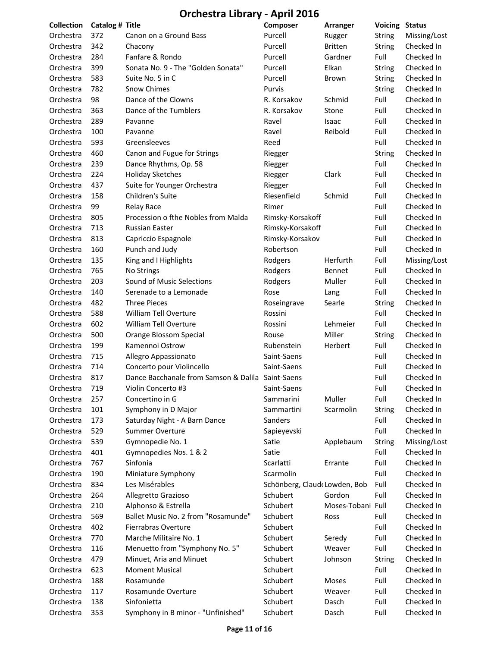| Collection | Catalog # Title |                                                   | Composer                     | Arranger          | <b>Voicing Status</b> |              |
|------------|-----------------|---------------------------------------------------|------------------------------|-------------------|-----------------------|--------------|
| Orchestra  | 372             | Canon on a Ground Bass                            | Purcell                      | Rugger            | <b>String</b>         | Missing/Lost |
| Orchestra  | 342             | Chacony                                           | Purcell                      | <b>Britten</b>    | <b>String</b>         | Checked In   |
| Orchestra  | 284             | Fanfare & Rondo                                   | Purcell                      | Gardner           | Full                  | Checked In   |
| Orchestra  | 399             | Sonata No. 9 - The "Golden Sonata"                | Purcell                      | Elkan             | String                | Checked In   |
| Orchestra  | 583             | Suite No. 5 in C                                  | Purcell                      | Brown             | String                | Checked In   |
| Orchestra  | 782             | <b>Snow Chimes</b>                                | Purvis                       |                   | <b>String</b>         | Checked In   |
| Orchestra  | 98              | Dance of the Clowns                               | R. Korsakov                  | Schmid            | Full                  | Checked In   |
| Orchestra  | 363             | Dance of the Tumblers                             | R. Korsakov                  | Stone             | Full                  | Checked In   |
| Orchestra  | 289             | Pavanne                                           | Ravel                        | Isaac             | Full                  | Checked In   |
| Orchestra  | 100             | Pavanne                                           | Ravel                        | Reibold           | Full                  | Checked In   |
| Orchestra  | 593             | Greensleeves                                      | Reed                         |                   | Full                  | Checked In   |
| Orchestra  | 460             | Canon and Fugue for Strings                       | Riegger                      |                   | <b>String</b>         | Checked In   |
| Orchestra  | 239             | Dance Rhythms, Op. 58                             | Riegger                      |                   | Full                  | Checked In   |
| Orchestra  | 224             | <b>Holiday Sketches</b>                           | Riegger                      | Clark             | Full                  | Checked In   |
| Orchestra  | 437             | Suite for Younger Orchestra                       | Riegger                      |                   | Full                  | Checked In   |
| Orchestra  | 158             | Children's Suite                                  | Riesenfield                  | Schmid            | Full                  | Checked In   |
| Orchestra  | 99              | <b>Relay Race</b>                                 | Rimer                        |                   | Full                  | Checked In   |
| Orchestra  | 805             | Procession o fthe Nobles from Malda               | Rimsky-Korsakoff             |                   | Full                  | Checked In   |
| Orchestra  | 713             | <b>Russian Easter</b>                             | Rimsky-Korsakoff             |                   | Full                  | Checked In   |
| Orchestra  | 813             | Capriccio Espagnole                               | Rimsky-Korsakov              |                   | Full                  | Checked In   |
| Orchestra  | 160             | Punch and Judy                                    | Robertson                    |                   | Full                  | Checked In   |
| Orchestra  | 135             | King and I Highlights                             | Rodgers                      | Herfurth          | Full                  | Missing/Lost |
| Orchestra  | 765             | No Strings                                        | Rodgers                      | Bennet            | Full                  | Checked In   |
| Orchestra  | 203             | Sound of Music Selections                         | Rodgers                      | Muller            | Full                  | Checked In   |
| Orchestra  | 140             | Serenade to a Lemonade                            | Rose                         | Lang              | Full                  | Checked In   |
| Orchestra  | 482             | <b>Three Pieces</b>                               | Roseingrave                  | Searle            | <b>String</b>         | Checked In   |
| Orchestra  | 588             | William Tell Overture                             | Rossini                      |                   | Full                  | Checked In   |
| Orchestra  | 602             | William Tell Overture                             | Rossini                      | Lehmeier          | Full                  | Checked In   |
| Orchestra  | 500             | Orange Blossom Special                            | Rouse                        | Miller            | <b>String</b>         | Checked In   |
| Orchestra  | 199             | Kamennoi Ostrow                                   | Rubenstein                   | Herbert           | Full                  | Checked In   |
| Orchestra  | 715             | Allegro Appassionato                              | Saint-Saens                  |                   | Full                  | Checked In   |
| Orchestra  | 714             | Concerto pour Violincello                         | Saint-Saens                  |                   | Full                  | Checked In   |
| Orchestra  | 817             | Dance Bacchanale from Samson & Dalila Saint-Saens |                              |                   | Full                  | Checked In   |
| Orchestra  | 719             | Violin Concerto #3                                | Saint-Saens                  |                   | Full                  | Checked In   |
| Orchestra  | 257             | Concertino in G                                   | Sammarini                    | Muller            | Full                  | Checked In   |
| Orchestra  | 101             | Symphony in D Major                               | Sammartini                   | Scarmolin         | String                | Checked In   |
| Orchestra  | 173             | Saturday Night - A Barn Dance                     | Sanders                      |                   | Full                  | Checked In   |
| Orchestra  | 529             | Summer Overture                                   | Sapieyevski                  |                   | Full                  | Checked In   |
| Orchestra  | 539             | Gymnopedie No. 1                                  | Satie                        | Applebaum         | String                | Missing/Lost |
| Orchestra  | 401             | Gymnopedies Nos. 1 & 2                            | Satie                        |                   | Full                  | Checked In   |
| Orchestra  | 767             | Sinfonia                                          | Scarlatti                    | Errante           | Full                  | Checked In   |
| Orchestra  | 190             | Miniature Symphony                                | Scarmolin                    |                   | Full                  | Checked In   |
| Orchestra  | 834             | Les Misérables                                    | Schönberg, Claud Lowden, Bob |                   | Full                  | Checked In   |
| Orchestra  | 264             | Allegretto Grazioso                               | Schubert                     | Gordon            | Full                  | Checked In   |
| Orchestra  | 210             | Alphonso & Estrella                               | Schubert                     | Moses-Tobani Full |                       | Checked In   |
| Orchestra  | 569             | Ballet Music No. 2 from "Rosamunde"               | Schubert                     | Ross              | Full                  | Checked In   |
| Orchestra  | 402             | <b>Fierrabras Overture</b>                        | Schubert                     |                   | Full                  | Checked In   |
| Orchestra  | 770             | Marche Militaire No. 1                            | Schubert                     | Seredy            | Full                  | Checked In   |
| Orchestra  | 116             | Menuetto from "Symphony No. 5"                    | Schubert                     | Weaver            | Full                  | Checked In   |
| Orchestra  | 479             | Minuet, Aria and Minuet                           | Schubert                     | Johnson           | <b>String</b>         | Checked In   |
| Orchestra  | 623             | <b>Moment Musical</b>                             | Schubert                     |                   | Full                  | Checked In   |
| Orchestra  | 188             | Rosamunde                                         | Schubert                     | Moses             | Full                  | Checked In   |
| Orchestra  | 117             | Rosamunde Overture                                | Schubert                     | Weaver            | Full                  | Checked In   |
| Orchestra  | 138             | Sinfonietta                                       | Schubert                     | Dasch             | Full                  | Checked In   |
| Orchestra  | 353             | Symphony in B minor - "Unfinished"                | Schubert                     | Dasch             | Full                  | Checked In   |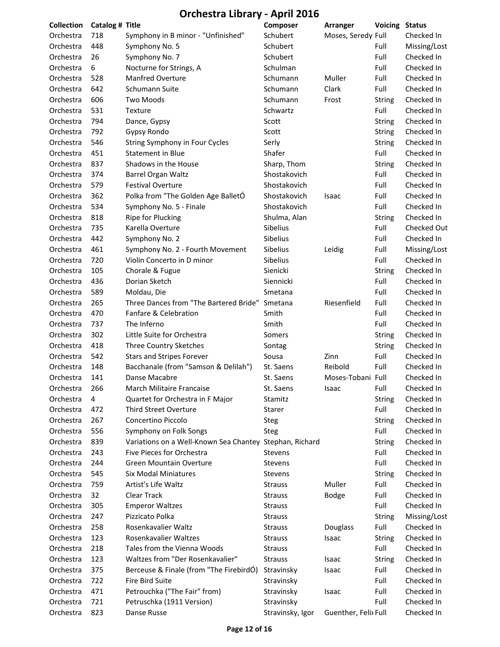| Collection | Catalog # Title |                                                         | Composer         | Arranger             | <b>Voicing</b> | <b>Status</b> |
|------------|-----------------|---------------------------------------------------------|------------------|----------------------|----------------|---------------|
| Orchestra  | 718             | Symphony in B minor - "Unfinished"                      | Schubert         | Moses, Seredy Full   |                | Checked In    |
| Orchestra  | 448             | Symphony No. 5                                          | Schubert         |                      | Full           | Missing/Lost  |
| Orchestra  | 26              | Symphony No. 7                                          | Schubert         |                      | Full           | Checked In    |
| Orchestra  | 6               | Nocturne for Strings, A                                 | Schulman         |                      | Full           | Checked In    |
| Orchestra  | 528             | <b>Manfred Overture</b>                                 | Schumann         | Muller               | Full           | Checked In    |
| Orchestra  | 642             | Schumann Suite                                          | Schumann         | Clark                | Full           | Checked In    |
| Orchestra  | 606             | <b>Two Moods</b>                                        | Schumann         | Frost                | <b>String</b>  | Checked In    |
| Orchestra  | 531             | Texture                                                 | Schwartz         |                      | Full           | Checked In    |
| Orchestra  | 794             | Dance, Gypsy                                            | Scott            |                      | <b>String</b>  | Checked In    |
| Orchestra  | 792             | <b>Gypsy Rondo</b>                                      | Scott            |                      | <b>String</b>  | Checked In    |
| Orchestra  | 546             | String Symphony in Four Cycles                          | Serly            |                      | <b>String</b>  | Checked In    |
| Orchestra  | 451             | <b>Statement in Blue</b>                                | Shafer           |                      | Full           | Checked In    |
| Orchestra  | 837             | Shadows in the House                                    | Sharp, Thom      |                      | <b>String</b>  | Checked In    |
| Orchestra  | 374             | Barrel Organ Waltz                                      | Shostakovich     |                      | Full           | Checked In    |
| Orchestra  | 579             | <b>Festival Overture</b>                                | Shostakovich     |                      | Full           | Checked In    |
| Orchestra  | 362             | Polka from "The Golden Age BalletÓ                      | Shostakovich     | Isaac                | Full           | Checked In    |
| Orchestra  | 534             | Symphony No. 5 - Finale                                 | Shostakovich     |                      | Full           | Checked In    |
| Orchestra  | 818             | Ripe for Plucking                                       | Shulma, Alan     |                      | <b>String</b>  | Checked In    |
| Orchestra  | 735             | Karella Overture                                        | Sibelius         |                      | Full           | Checked Out   |
| Orchestra  | 442             | Symphony No. 2                                          | Sibelius         |                      | Full           | Checked In    |
| Orchestra  | 461             | Symphony No. 2 - Fourth Movement                        | Sibelius         | Leidig               | Full           | Missing/Lost  |
| Orchestra  | 720             | Violin Concerto in D minor                              | Sibelius         |                      | Full           | Checked In    |
| Orchestra  | 105             | Chorale & Fugue                                         | Sienicki         |                      | <b>String</b>  | Checked In    |
| Orchestra  | 436             | Dorian Sketch                                           | Siennicki        |                      | Full           | Checked In    |
| Orchestra  | 589             | Moldau, Die                                             | Smetana          |                      | Full           | Checked In    |
| Orchestra  | 265             | Three Dances from "The Bartered Bride"                  | Smetana          | Riesenfield          | Full           | Checked In    |
| Orchestra  | 470             | Fanfare & Celebration                                   | Smith            |                      | Full           | Checked In    |
| Orchestra  | 737             | The Inferno                                             | Smith            |                      | Full           | Checked In    |
| Orchestra  | 302             | Little Suite for Orchestra                              | Somers           |                      | <b>String</b>  | Checked In    |
| Orchestra  | 418             | Three Country Sketches                                  | Sontag           |                      | <b>String</b>  | Checked In    |
| Orchestra  | 542             | <b>Stars and Stripes Forever</b>                        | Sousa            | Zinn                 | Full           | Checked In    |
| Orchestra  | 148             | Bacchanale (from "Samson & Delilah")                    | St. Saens        | Reibold              | Full           | Checked In    |
| Orchestra  | 141             | Danse Macabre                                           | St. Saens        | Moses-Tobani Full    |                | Checked In    |
| Orchestra  | 266             | March Militaire Francaise                               | St. Saens        | Isaac                | Full           | Checked In    |
| Orchestra  | 4               | Quartet for Orchestra in F Major                        | Stamitz          |                      | <b>String</b>  | Checked In    |
| Orchestra  | 472             | <b>Third Street Overture</b>                            | Starer           |                      | Full           | Checked In    |
| Orchestra  | 267             | Concertino Piccolo                                      | Steg             |                      | <b>String</b>  | Checked In    |
| Orchestra  | 556             | Symphony on Folk Songs                                  | Steg             |                      | Full           | Checked In    |
| Orchestra  | 839             | Variations on a Well-Known Sea Chantey Stephan, Richard |                  |                      | <b>String</b>  | Checked In    |
| Orchestra  | 243             | Five Pieces for Orchestra                               | <b>Stevens</b>   |                      | Full           | Checked In    |
| Orchestra  | 244             | <b>Green Mountain Overture</b>                          | <b>Stevens</b>   |                      | Full           | Checked In    |
| Orchestra  | 545             | <b>Six Modal Miniatures</b>                             | <b>Stevens</b>   |                      | <b>String</b>  | Checked In    |
| Orchestra  | 759             | Artist's Life Waltz                                     | <b>Strauss</b>   | Muller               | Full           | Checked In    |
| Orchestra  | 32              | Clear Track                                             | <b>Strauss</b>   | <b>Bodge</b>         | Full           | Checked In    |
| Orchestra  | 305             | <b>Emperor Waltzes</b>                                  | <b>Strauss</b>   |                      | Full           | Checked In    |
| Orchestra  | 247             | Pizzicato Polka                                         | <b>Strauss</b>   |                      | <b>String</b>  | Missing/Lost  |
| Orchestra  | 258             | Rosenkavalier Waltz                                     | <b>Strauss</b>   | Douglass             | Full           | Checked In    |
| Orchestra  | 123             | Rosenkavalier Waltzes                                   | <b>Strauss</b>   | Isaac                | <b>String</b>  | Checked In    |
| Orchestra  | 218             | Tales from the Vienna Woods                             | <b>Strauss</b>   |                      | Full           | Checked In    |
| Orchestra  | 123             | Waltzes from "Der Rosenkavalier"                        | <b>Strauss</b>   | Isaac                | <b>String</b>  | Checked In    |
| Orchestra  | 375             | Berceuse & Finale (from "The FirebirdÓ)                 | Stravinsky       | Isaac                | Full           | Checked In    |
| Orchestra  | 722             | Fire Bird Suite                                         | Stravinsky       |                      | Full           | Checked In    |
| Orchestra  | 471             | Petrouchka ("The Fair" from)                            | Stravinsky       | Isaac                | Full           | Checked In    |
| Orchestra  | 721             | Petruschka (1911 Version)                               | Stravinsky       |                      | Full           | Checked In    |
| Orchestra  | 823             | Danse Russe                                             | Stravinsky, Igor | Guenther, Felix Full |                | Checked In    |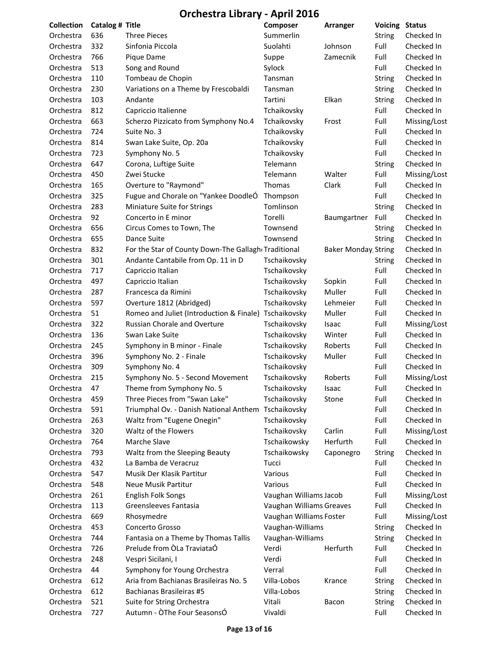| <b>Collection</b> | Catalog # Title |                                                     | Composer                 | Arranger                    | Voicing       | <b>Status</b> |
|-------------------|-----------------|-----------------------------------------------------|--------------------------|-----------------------------|---------------|---------------|
| Orchestra         | 636             | <b>Three Pieces</b>                                 | Summerlin                |                             | <b>String</b> | Checked In    |
| Orchestra         | 332             | Sinfonia Piccola                                    | Suolahti                 | Johnson                     | Full          | Checked In    |
| Orchestra         | 766             | Pique Dame                                          | Suppe                    | Zamecnik                    | Full          | Checked In    |
| Orchestra         | 513             | Song and Round                                      | Sylock                   |                             | Full          | Checked In    |
| Orchestra         | 110             | Tombeau de Chopin                                   | Tansman                  |                             | <b>String</b> | Checked In    |
| Orchestra         | 230             | Variations on a Theme by Frescobaldi                | Tansman                  |                             | <b>String</b> | Checked In    |
| Orchestra         | 103             | Andante                                             | Tartini                  | Elkan                       | String        | Checked In    |
| Orchestra         | 812             | Capriccio Italienne                                 | Tchaikovsky              |                             | Full          | Checked In    |
| Orchestra         | 663             | Scherzo Pizzicato from Symphony No.4                | Tchaikovsky              | Frost                       | Full          | Missing/Lost  |
| Orchestra         | 724             | Suite No. 3                                         | Tchaikovsky              |                             | Full          | Checked In    |
| Orchestra         | 814             | Swan Lake Suite, Op. 20a                            | Tchaikovsky              |                             | Full          | Checked In    |
| Orchestra         | 723             | Symphony No. 5                                      | Tchaikovsky              |                             | Full          | Checked In    |
| Orchestra         | 647             | Corona, Luftige Suite                               | Telemann                 |                             | <b>String</b> | Checked In    |
| Orchestra         | 450             | Zwei Stucke                                         | Telemann                 | Walter                      | Full          | Missing/Lost  |
| Orchestra         | 165             | Overture to "Raymond"                               | Thomas                   | Clark                       | Full          | Checked In    |
| Orchestra         | 325             | Fugue and Chorale on "Yankee DoodleO                | Thompson                 |                             | Full          | Checked In    |
| Orchestra         | 283             | Miniature Suite for Strings                         | Tomlinson                |                             | <b>String</b> | Checked In    |
| Orchestra         | 92              | Concerto in E minor                                 | Torelli                  | Baumgartner                 | Full          | Checked In    |
| Orchestra         | 656             | Circus Comes to Town, The                           | Townsend                 |                             | String        | Checked In    |
| Orchestra         | 655             | Dance Suite                                         | Townsend                 |                             | <b>String</b> | Checked In    |
| Orchestra         | 832             | For the Star of County Down-The Gallagh Traditional |                          | <b>Baker Monday, String</b> |               | Checked In    |
| Orchestra         | 301             | Andante Cantabile from Op. 11 in D                  | Tschaikovsky             |                             | String        | Checked In    |
| Orchestra         | 717             | Capriccio Italian                                   | Tschaikovsky             |                             | Full          | Checked In    |
| Orchestra         | 497             | Capriccio Italian                                   | Tschaikovsky             | Sopkin                      | Full          | Checked In    |
| Orchestra         | 287             | Francesca da Rimini                                 | Tschaikovsky             | Muller                      | Full          | Checked In    |
| Orchestra         | 597             | Overture 1812 (Abridged)                            | Tschaikovsky             | Lehmeier                    | Full          | Checked In    |
| Orchestra         | 51              | Romeo and Juliet (Introduction & Finale)            | Tschaikovsky             | Muller                      | Full          | Checked In    |
| Orchestra         | 322             | <b>Russian Chorale and Overture</b>                 | Tschaikovsky             | Isaac                       | Full          | Missing/Lost  |
| Orchestra         | 136             | Swan Lake Suite                                     | Tschaikovsky             | Winter                      | Full          | Checked In    |
| Orchestra         | 245             | Symphony in B minor - Finale                        | Tschaikovsky             | Roberts                     | Full          | Checked In    |
| Orchestra         | 396             | Symphony No. 2 - Finale                             | Tschaikovsky             | Muller                      | Full          | Checked In    |
| Orchestra         | 309             | Symphony No. 4                                      | Tschaikovsky             |                             | Full          | Checked In    |
| Orchestra         | 215             | Symphony No. 5 - Second Movement                    | Tschaikovsky             | Roberts                     | Full          | Missing/Lost  |
| Orchestra         | 47              | Theme from Symphony No. 5                           | Tschaikovsky             | Isaac                       | Full          | Checked In    |
| Orchestra         | 459             | Three Pieces from "Swan Lake"                       | Tschaikovsky             | Stone                       | Full          | Checked In    |
| Orchestra         | 591             | Triumphal Ov. - Danish National Anthem Tschaikovsky |                          |                             | Full          | Checked In    |
| Orchestra         | 263             | Waltz from "Eugene Onegin"                          | Tschaikovsky             |                             | Full          | Checked In    |
| Orchestra         | 320             | Waltz of the Flowers                                | Tschaikovsky             | Carlin                      | Full          | Missing/Lost  |
| Orchestra         | 764             | Marche Slave                                        | Tschaikowsky             | Herfurth                    | Full          | Checked In    |
| Orchestra         | 793             | Waltz from the Sleeping Beauty                      | Tschaikowsky             | Caponegro                   | <b>String</b> | Checked In    |
| Orchestra         | 432             | La Bamba de Veracruz                                | Tucci                    |                             | Full          | Checked In    |
| Orchestra         | 547             | Musik Der Klasik Partitur                           | Various                  |                             | Full          | Checked In    |
| Orchestra         | 548             | Neue Musik Partitur                                 | Various                  |                             | Full          | Checked In    |
| Orchestra         | 261             | English Folk Songs                                  | Vaughan Williams Jacob   |                             | Full          | Missing/Lost  |
| Orchestra         | 113             | Greensleeves Fantasia                               | Vaughan Williams Greaves |                             | Full          | Checked In    |
| Orchestra         | 669             | Rhosymedre                                          | Vaughan Williams Foster  |                             | Full          | Missing/Lost  |
| Orchestra         | 453             | Concerto Grosso                                     | Vaughan-Williams         |                             | String        | Checked In    |
| Orchestra         | 744             | Fantasia on a Theme by Thomas Tallis                | Vaughan-Williams         |                             | <b>String</b> | Checked In    |
| Orchestra         | 726             | Prelude from OLa TraviataÓ                          | Verdi                    | Herfurth                    | Full          | Checked In    |
| Orchestra         | 248             | Vespri Sicilani, I                                  | Verdi                    |                             | Full          | Checked In    |
| Orchestra         | 44              | Symphony for Young Orchestra                        | Verral                   |                             | Full          | Checked In    |
| Orchestra         | 612             | Aria from Bachianas Brasileiras No. 5               | Villa-Lobos              | Krance                      | <b>String</b> | Checked In    |
| Orchestra         | 612             | Bachianas Brasileiras #5                            | Villa-Lobos              |                             | <b>String</b> | Checked In    |
| Orchestra         | 521             | Suite for String Orchestra                          | Vitali                   | Bacon                       | <b>String</b> | Checked In    |
| Orchestra         | 727             | Autumn - OThe Four SeasonsÓ                         | Vivaldi                  |                             | Full          | Checked In    |
|                   |                 |                                                     |                          |                             |               |               |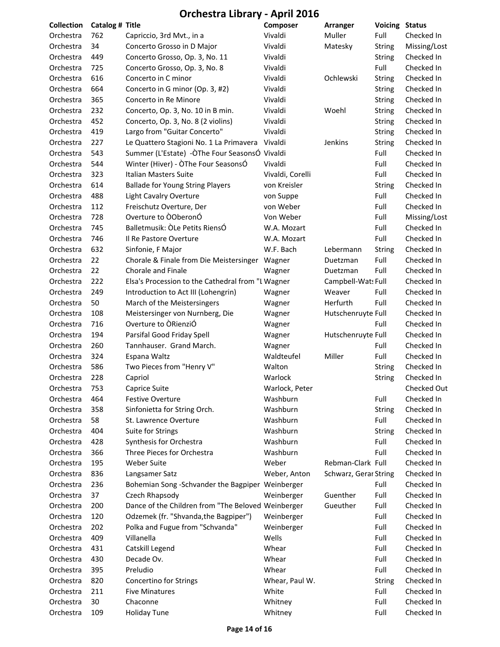| Collection | Catalog # Title |                                                    | Composer         | Arranger              | <b>Voicing Status</b> |              |
|------------|-----------------|----------------------------------------------------|------------------|-----------------------|-----------------------|--------------|
| Orchestra  | 762             | Capriccio, 3rd Mvt., in a                          | Vivaldi          | Muller                | Full                  | Checked In   |
| Orchestra  | 34              | Concerto Grosso in D Major                         | Vivaldi          | Matesky               | <b>String</b>         | Missing/Lost |
| Orchestra  | 449             | Concerto Grosso, Op. 3, No. 11                     | Vivaldi          |                       | <b>String</b>         | Checked In   |
| Orchestra  | 725             | Concerto Grosso, Op. 3, No. 8                      | Vivaldi          |                       | Full                  | Checked In   |
| Orchestra  | 616             | Concerto in C minor                                | Vivaldi          | Ochlewski             | String                | Checked In   |
| Orchestra  | 664             | Concerto in G minor (Op. 3, #2)                    | Vivaldi          |                       | <b>String</b>         | Checked In   |
| Orchestra  | 365             | Concerto in Re Minore                              | Vivaldi          |                       | <b>String</b>         | Checked In   |
| Orchestra  | 232             | Concerto, Op. 3, No. 10 in B min.                  | Vivaldi          | Woehl                 | <b>String</b>         | Checked In   |
| Orchestra  | 452             | Concerto, Op. 3, No. 8 (2 violins)                 | Vivaldi          |                       | <b>String</b>         | Checked In   |
| Orchestra  | 419             | Largo from "Guitar Concerto"                       | Vivaldi          |                       | String                | Checked In   |
| Orchestra  | 227             | Le Quattero Stagioni No. 1 La Primavera            | Vivaldi          | Jenkins               | <b>String</b>         | Checked In   |
| Orchestra  | 543             | Summer (L'Estate) -ÒThe Four SeasonsÓ Vivaldi      |                  |                       | Full                  | Checked In   |
| Orchestra  | 544             | Winter (Hiver) - ÒThe Four SeasonsÓ                | Vivaldi          |                       | Full                  | Checked In   |
| Orchestra  | 323             | Italian Masters Suite                              | Vivaldi, Corelli |                       | Full                  | Checked In   |
| Orchestra  | 614             | <b>Ballade for Young String Players</b>            | von Kreisler     |                       | <b>String</b>         | Checked In   |
| Orchestra  | 488             | <b>Light Cavalry Overture</b>                      | von Suppe        |                       | Full                  | Checked In   |
| Orchestra  | 112             | Freischutz Overture, Der                           | von Weber        |                       | Full                  | Checked In   |
| Orchestra  | 728             | Overture to OOberonÓ                               | Von Weber        |                       | Full                  | Missing/Lost |
| Orchestra  | 745             | Balletmusik: OLe Petits RiensÓ                     | W.A. Mozart      |                       | Full                  | Checked In   |
| Orchestra  | 746             | Il Re Pastore Overture                             | W.A. Mozart      |                       | Full                  | Checked In   |
| Orchestra  | 632             | Sinfonie, F Major                                  | W.F. Bach        | Lebermann             | <b>String</b>         | Checked In   |
| Orchestra  | 22              | Chorale & Finale from Die Meistersinger Wagner     |                  | Duetzman              | Full                  | Checked In   |
| Orchestra  | 22              | Chorale and Finale                                 | Wagner           | Duetzman              | Full                  | Checked In   |
| Orchestra  | 222             | Elsa's Procession to the Cathedral from "I Wagner  |                  | Campbell-Wat: Full    |                       | Checked In   |
| Orchestra  | 249             | Introduction to Act III (Lohengrin)                | Wagner           | Weaver                | Full                  | Checked In   |
| Orchestra  | 50              | March of the Meistersingers                        | Wagner           | Herfurth              | Full                  | Checked In   |
| Orchestra  | 108             | Meistersinger von Nurnberg, Die                    | Wagner           | Hutschenruyte Full    |                       | Checked In   |
| Orchestra  | 716             | Overture to ORienziÓ                               | Wagner           |                       | Full                  | Checked In   |
| Orchestra  | 194             | Parsifal Good Friday Spell                         | Wagner           | Hutschenruyte Full    |                       | Checked In   |
| Orchestra  | 260             | Tannhauser. Grand March.                           | Wagner           |                       | Full                  | Checked In   |
| Orchestra  | 324             | Espana Waltz                                       | Waldteufel       | Miller                | Full                  | Checked In   |
| Orchestra  | 586             | Two Pieces from "Henry V"                          | Walton           |                       | <b>String</b>         | Checked In   |
| Orchestra  | 228             | Capriol                                            | Warlock          |                       | <b>String</b>         | Checked In   |
| Orchestra  | 753             | Caprice Suite                                      | Warlock, Peter   |                       |                       | Checked Out  |
| Orchestra  | 464             | <b>Festive Overture</b>                            | Washburn         |                       | Full                  | Checked In   |
| Orchestra  | 358             | Sinfonietta for String Orch.                       | Washburn         |                       | String                | Checked In   |
| Orchestra  | 58              | St. Lawrence Overture                              | Washburn         |                       | Full                  | Checked In   |
| Orchestra  | 404             | Suite for Strings                                  | Washburn         |                       | String                | Checked In   |
| Orchestra  | 428             | Synthesis for Orchestra                            | Washburn         |                       | Full                  | Checked In   |
| Orchestra  | 366             | Three Pieces for Orchestra                         | Washburn         |                       | Full                  | Checked In   |
| Orchestra  | 195             | <b>Weber Suite</b>                                 | Weber            | Rebman-Clark Full     |                       | Checked In   |
| Orchestra  | 836             | Langsamer Satz                                     | Weber, Anton     | Schwarz, Gerar String |                       | Checked In   |
| Orchestra  | 236             | Bohemian Song-Schvander the Bagpiper Weinberger    |                  |                       | Full                  | Checked In   |
| Orchestra  | 37              | Czech Rhapsody                                     | Weinberger       | Guenther              | Full                  | Checked In   |
| Orchestra  | 200             | Dance of the Children from "The Beloved Weinberger |                  | Gueuther              | Full                  | Checked In   |
| Orchestra  | 120             | Odzemek (fr. "Shvanda, the Bagpiper")              | Weinberger       |                       | Full                  | Checked In   |
| Orchestra  | 202             | Polka and Fugue from "Schvanda"                    | Weinberger       |                       | Full                  | Checked In   |
| Orchestra  | 409             | Villanella                                         | Wells            |                       | Full                  | Checked In   |
| Orchestra  | 431             | Catskill Legend                                    | Whear            |                       | Full                  | Checked In   |
| Orchestra  | 430             | Decade Ov.                                         | Whear            |                       | Full                  | Checked In   |
| Orchestra  | 395             | Preludio                                           | Whear            |                       | Full                  | Checked In   |
| Orchestra  | 820             | Concertino for Strings                             | Whear, Paul W.   |                       | <b>String</b>         | Checked In   |
| Orchestra  | 211             | <b>Five Minatures</b>                              | White            |                       | Full                  | Checked In   |
| Orchestra  | 30              | Chaconne                                           | Whitney          |                       | Full                  | Checked In   |
| Orchestra  | 109             | <b>Holiday Tune</b>                                | Whitney          |                       | Full                  | Checked In   |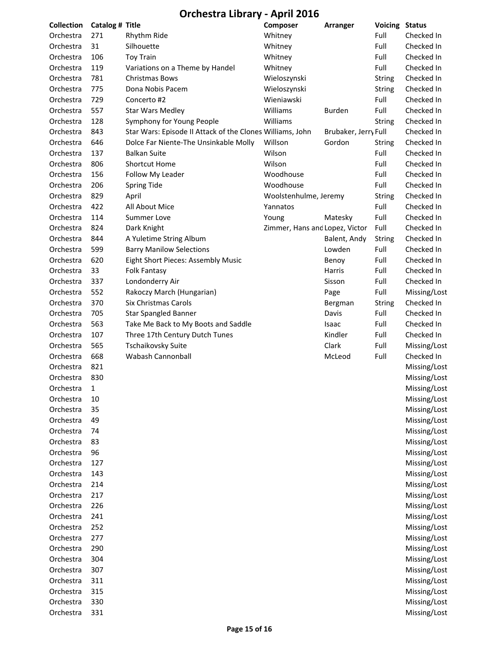| <b>Collection</b>      | Catalog # Title |                                                           | Composer                       | Arranger             | <b>Voicing Status</b> |                              |
|------------------------|-----------------|-----------------------------------------------------------|--------------------------------|----------------------|-----------------------|------------------------------|
| Orchestra              | 271             | Rhythm Ride                                               | Whitney                        |                      | Full                  | Checked In                   |
| Orchestra              | 31              | Silhouette                                                | Whitney                        |                      | Full                  | Checked In                   |
| Orchestra              | 106             | <b>Toy Train</b>                                          | Whitney                        |                      | Full                  | Checked In                   |
| Orchestra              | 119             | Variations on a Theme by Handel                           | Whitney                        |                      | Full                  | Checked In                   |
| Orchestra              | 781             | Christmas Bows                                            | Wieloszynski                   |                      | <b>String</b>         | Checked In                   |
| Orchestra              | 775             | Dona Nobis Pacem                                          | Wieloszynski                   |                      | <b>String</b>         | Checked In                   |
| Orchestra              | 729             | Concerto #2                                               | Wieniawski                     |                      | Full                  | Checked In                   |
| Orchestra              | 557             | <b>Star Wars Medley</b>                                   | Williams                       | <b>Burden</b>        | Full                  | Checked In                   |
| Orchestra              | 128             | Symphony for Young People                                 | Williams                       |                      | <b>String</b>         | Checked In                   |
| Orchestra              | 843             | Star Wars: Episode II Attack of the Clones Williams, John |                                | Brubaker, Jerry Full |                       | Checked In                   |
| Orchestra              | 646             | Dolce Far Niente-The Unsinkable Molly                     | Willson                        | Gordon               | <b>String</b>         | Checked In                   |
| Orchestra              | 137             | <b>Balkan Suite</b>                                       | Wilson                         |                      | Full                  | Checked In                   |
| Orchestra              | 806             | <b>Shortcut Home</b>                                      | Wilson                         |                      | Full                  | Checked In                   |
| Orchestra              | 156             | Follow My Leader                                          | Woodhouse                      |                      | Full                  | Checked In                   |
| Orchestra              | 206             | <b>Spring Tide</b>                                        | Woodhouse                      |                      | Full                  | Checked In                   |
| Orchestra              | 829             | April                                                     | Woolstenhulme, Jeremy          |                      | <b>String</b>         | Checked In                   |
| Orchestra              | 422             | All About Mice                                            | Yannatos                       |                      | Full                  | Checked In                   |
| Orchestra              | 114             | <b>Summer Love</b>                                        | Young                          | Matesky              | Full                  | Checked In                   |
| Orchestra              | 824             | Dark Knight                                               | Zimmer, Hans and Lopez, Victor |                      | Full                  | Checked In                   |
| Orchestra              | 844             | A Yuletime String Album                                   |                                | Balent, Andy         | <b>String</b>         | Checked In                   |
| Orchestra              | 599             | <b>Barry Manilow Selections</b>                           |                                | Lowden               | Full                  | Checked In                   |
| Orchestra              | 620             | Eight Short Pieces: Assembly Music                        |                                | Benoy                | Full                  | Checked In                   |
| Orchestra              | 33              | <b>Folk Fantasy</b>                                       |                                | Harris               | Full                  | Checked In                   |
| Orchestra              | 337             | Londonderry Air                                           |                                | Sisson               | Full                  | Checked In                   |
| Orchestra              | 552             | Rakoczy March (Hungarian)                                 |                                | Page                 | Full                  | Missing/Lost                 |
| Orchestra              | 370             | Six Christmas Carols                                      |                                | Bergman              | <b>String</b>         | Checked In                   |
| Orchestra              | 705             | <b>Star Spangled Banner</b>                               |                                | Davis                | Full                  | Checked In                   |
| Orchestra              | 563             | Take Me Back to My Boots and Saddle                       |                                | Isaac                | Full                  | Checked In                   |
| Orchestra              | 107             | Three 17th Century Dutch Tunes                            |                                | Kindler              | Full                  | Checked In                   |
| Orchestra              | 565             | <b>Tschaikovsky Suite</b>                                 |                                | Clark                | Full                  | Missing/Lost                 |
| Orchestra              | 668             | Wabash Cannonball                                         |                                | McLeod               | Full                  | Checked In                   |
| Orchestra              | 821             |                                                           |                                |                      |                       | Missing/Lost                 |
| Orchestra              | 830             |                                                           |                                |                      |                       | Missing/Lost                 |
|                        | $\mathbf{1}$    |                                                           |                                |                      |                       | Missing/Lost                 |
| Orchestra              |                 |                                                           |                                |                      |                       |                              |
| Orchestra<br>Orchestra | 10              |                                                           |                                |                      |                       | Missing/Lost                 |
| Orchestra              | 35              |                                                           |                                |                      |                       | Missing/Lost<br>Missing/Lost |
|                        | 49              |                                                           |                                |                      |                       |                              |
| Orchestra              | 74              |                                                           |                                |                      |                       | Missing/Lost                 |
| Orchestra              | 83              |                                                           |                                |                      |                       | Missing/Lost<br>Missing/Lost |
| Orchestra              | 96              |                                                           |                                |                      |                       |                              |
| Orchestra              | 127             |                                                           |                                |                      |                       | Missing/Lost                 |
| Orchestra              | 143             |                                                           |                                |                      |                       | Missing/Lost                 |
| Orchestra              | 214             |                                                           |                                |                      |                       | Missing/Lost                 |
| Orchestra              | 217             |                                                           |                                |                      |                       | Missing/Lost                 |
| Orchestra              | 226             |                                                           |                                |                      |                       | Missing/Lost                 |
| Orchestra              | 241             |                                                           |                                |                      |                       | Missing/Lost                 |
| Orchestra              | 252             |                                                           |                                |                      |                       | Missing/Lost                 |
| Orchestra              | 277             |                                                           |                                |                      |                       | Missing/Lost                 |
| Orchestra              | 290             |                                                           |                                |                      |                       | Missing/Lost                 |
| Orchestra              | 304             |                                                           |                                |                      |                       | Missing/Lost                 |
| Orchestra              | 307             |                                                           |                                |                      |                       | Missing/Lost                 |
| Orchestra              | 311             |                                                           |                                |                      |                       | Missing/Lost                 |
| Orchestra              | 315             |                                                           |                                |                      |                       | Missing/Lost                 |
| Orchestra              | 330             |                                                           |                                |                      |                       | Missing/Lost                 |
| Orchestra              | 331             |                                                           |                                |                      |                       | Missing/Lost                 |